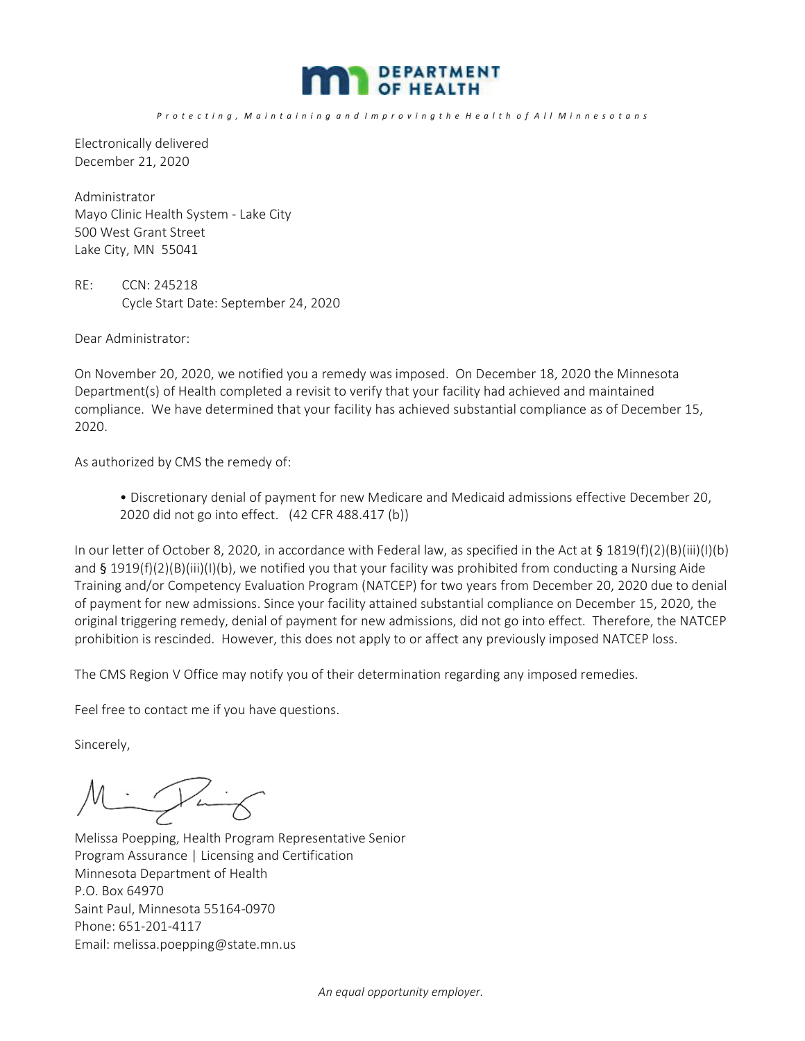

P r o t e c t i n g , M a i n t a i n i n g a n d I m p r o v i n g t h e H e a l t h o f A l l M i n n e s o t a n s

Electronically delivered December 21, 2020

Administrator Mayo Clinic Health System - Lake City 500 West Grant Street Lake City, MN 55041

RE: CCN: 245218 Cycle Start Date: September 24, 2020

Dear Administrator:

On November 20, 2020, we notified you a remedy was imposed. On December 18, 2020 the Minnesota Department(s) of Health completed a revisit to verify that your facility had achieved and maintained compliance. We have determined that your facility has achieved substantial compliance as of December 15, 2020.

As authorized by CMS the remedy of:

• Discretionary denial of payment for new Medicare and Medicaid admissions effective December 20, 2020 did not go into effect. (42 CFR 488.417 (b))

In our letter of October 8, 2020, in accordance with Federal law, as specified in the Act at  $\S 1819(f)(2)(B)(iii)(I)(b)$ and § 1919(f)(2)(B)(iii)(I)(b), we notified you that your facility was prohibited from conducting a Nursing Aide Training and/or Competency Evaluation Program (NATCEP) for two years from December 20, 2020 due to denial of payment for new admissions. Since your facility attained substantial compliance on December 15, 2020, the original triggering remedy, denial of payment for new admissions, did not go into effect. Therefore, the NATCEP prohibition is rescinded. However, this does not apply to or affect any previously imposed NATCEP loss.

The CMS Region V Office may notify you of their determination regarding any imposed remedies.

Feel free to contact me if you have questions.

Sincerely,

Minting Ì

Melissa Poepping, Health Program Representative Senior Program Assurance | Licensing and Certification Minnesota Department of Health P.O. Box 64970 Saint Paul, Minnesota 55164-0970 Phone: 651-201-4117 Email: melissa.poepping@state.mn.us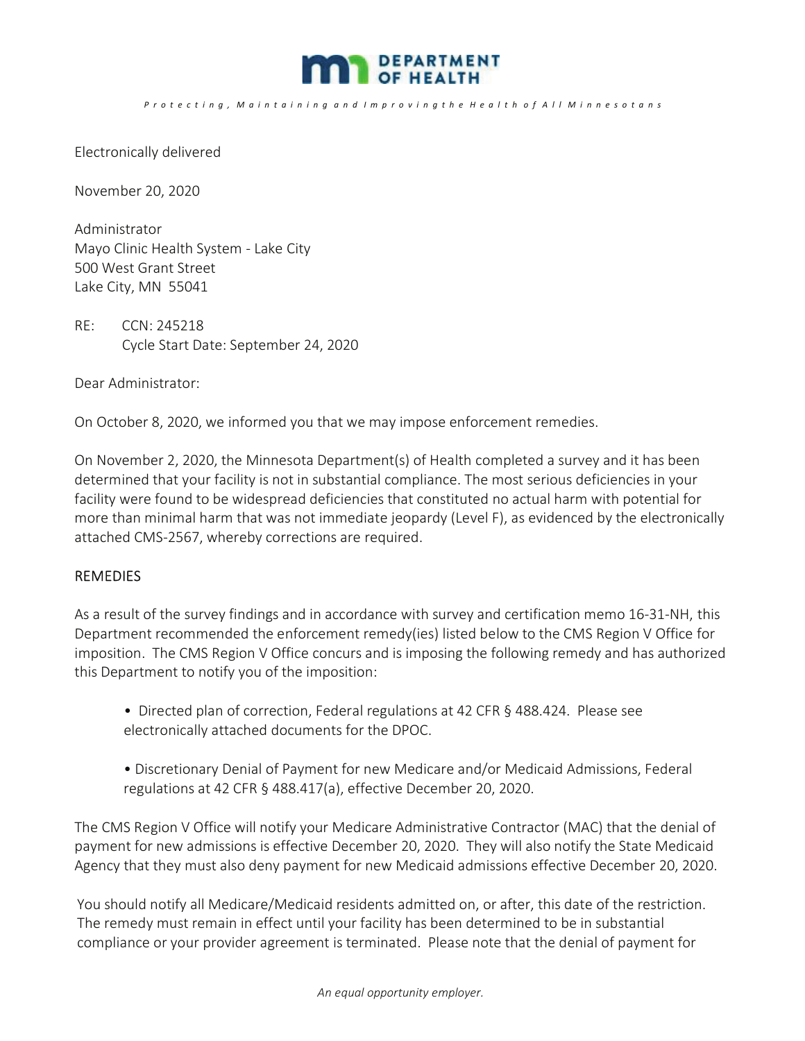

P r o t e c t i n q, M a i n t a i n i n q a n d I m p r o v i n q t h e H e a l t h o f A l I M i n n e s o t a n s

Electronically delivered

November 20, 2020

Administrator Mayo Clinic Health System - Lake City 500 West Grant Street Lake City, MN 55041

RE: CCN: 245218 Cycle Start Date: September 24, 2020

Dear Administrator:

On October 8, 2020, we informed you that we may impose enforcement remedies.

On November 2, 2020, the Minnesota Department(s) of Health completed a survey and it has been determined that your facility is not in substantial compliance. The most serious deficiencies in your facility were found to be widespread deficiencies that constituted no actual harm with potential for more than minimal harm that was not immediate jeopardy (Level F), as evidenced by the electronically attached CMS-2567, whereby corrections are required.

### REMEDIES

As a result of the survey findings and in accordance with survey and certification memo 16-31-NH, this Department recommended the enforcement remedy(ies) listed below to the CMS Region V Office for imposition. The CMS Region V Office concurs and is imposing the following remedy and has authorized this Department to notify you of the imposition:

- Directed plan of correction, Federal regulations at 42 CFR § 488.424. Please see electronically attached documents for the DPOC.
- Discretionary Denial of Payment for new Medicare and/or Medicaid Admissions, Federal regulations at 42 CFR § 488.417(a), effective December 20, 2020.

The CMS Region V Office will notify your Medicare Administrative Contractor (MAC) that the denial of payment for new admissions is effective December 20, 2020. They will also notify the State Medicaid Agency that they must also deny payment for new Medicaid admissions effective December 20, 2020.

You should notify all Medicare/Medicaid residents admitted on, or after, this date of the restriction. The remedy must remain in effect until your facility has been determined to be in substantial compliance or your provider agreement is terminated. Please note that the denial of payment for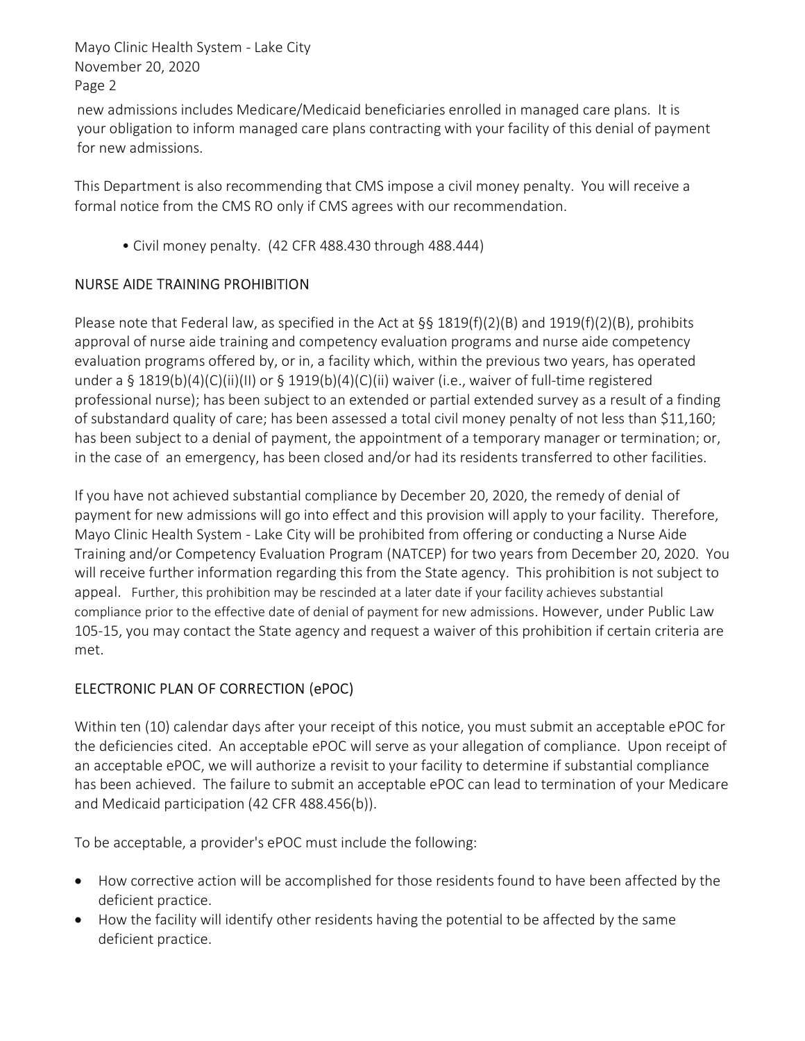Mayo Clinic Health System - Lake City November 20, 2020 Page 2

new admissions includes Medicare/Medicaid beneficiaries enrolled in managed care plans. It is your obligation to inform managed care plans contracting with your facility of this denial of payment for new admissions.

This Department is also recommending that CMS impose a civil money penalty. You will receive a formal notice from the CMS RO only if CMS agrees with our recommendation.

• Civil money penalty. (42 CFR 488.430 through 488.444)

# NURSE AIDE TRAINING PROHIBITION

Please note that Federal law, as specified in the Act at  $\S$ § 1819(f)(2)(B) and 1919(f)(2)(B), prohibits approval of nurse aide training and competency evaluation programs and nurse aide competency evaluation programs offered by, or in, a facility which, within the previous two years, has operated under a § 1819(b)(4)(C)(ii)(II) or § 1919(b)(4)(C)(ii) waiver (i.e., waiver of full-time registered professional nurse); has been subject to an extended or partial extended survey as a result of a finding of substandard quality of care; has been assessed a total civil money penalty of not less than \$11,160; has been subject to a denial of payment, the appointment of a temporary manager or termination; or, in the case of an emergency, has been closed and/or had its residents transferred to other facilities.

If you have not achieved substantial compliance by December 20, 2020, the remedy of denial of payment for new admissions will go into effect and this provision will apply to your facility. Therefore, Mayo Clinic Health System - Lake City will be prohibited from offering or conducting a Nurse Aide Training and/or Competency Evaluation Program (NATCEP) for two years from December 20, 2020. You will receive further information regarding this from the State agency. This prohibition is not subject to appeal. Further, this prohibition may be rescinded at a later date if your facility achieves substantial compliance prior to the effective date of denial of payment for new admissions. However, under Public Law 105-15, you may contact the State agency and request a waiver of this prohibition if certain criteria are met.

# ELECTRONIC PLAN OF CORRECTION (ePOC)

Within ten (10) calendar days after your receipt of this notice, you must submit an acceptable ePOC for the deficiencies cited. An acceptable ePOC will serve as your allegation of compliance. Upon receipt of an acceptable ePOC, we will authorize a revisit to your facility to determine if substantial compliance has been achieved. The failure to submit an acceptable ePOC can lead to termination of your Medicare and Medicaid participation (42 CFR 488.456(b)).

To be acceptable, a provider's ePOC must include the following:

- · How corrective action will be accomplished for those residents found to have been affected by the deficient practice.
- · How the facility will identify other residents having the potential to be affected by the same deficient practice.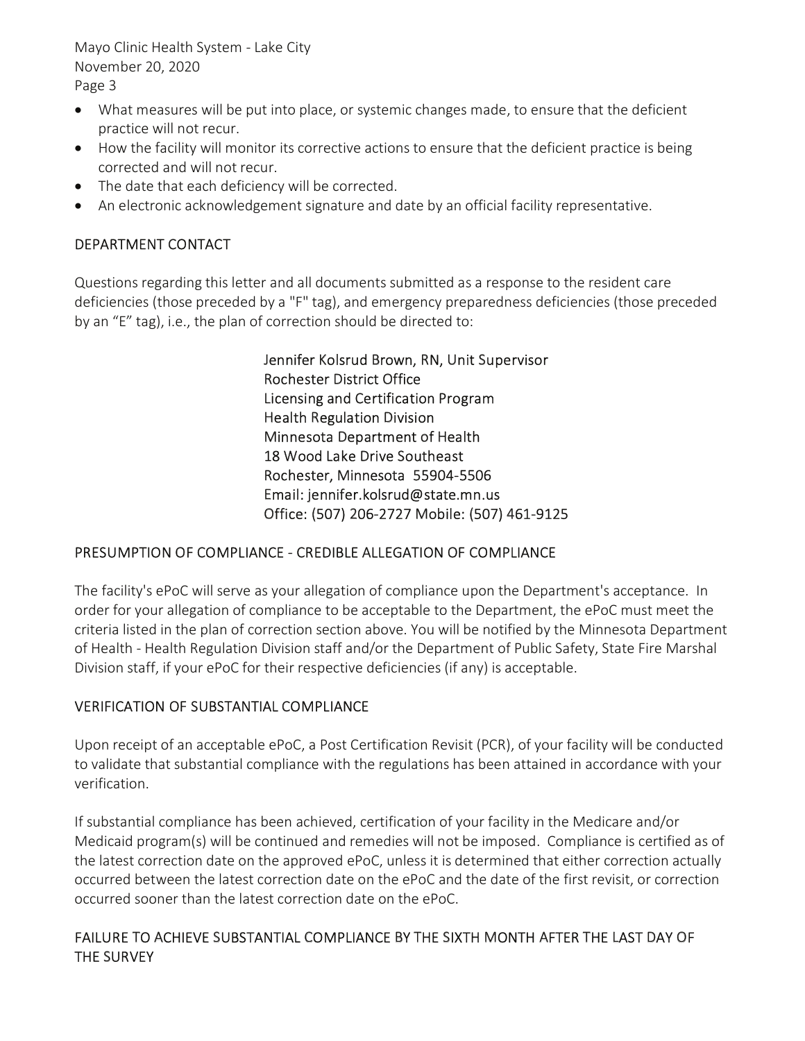Mayo Clinic Health System - Lake City November 20, 2020 Page 3

- · What measures will be put into place, or systemic changes made, to ensure that the deficient practice will not recur.
- · How the facility will monitor its corrective actions to ensure that the deficient practice is being corrected and will not recur.
- The date that each deficiency will be corrected.
- · An electronic acknowledgement signature and date by an official facility representative.

## DEPARTMENT CONTACT

Questions regarding this letter and all documents submitted as a response to the resident care deficiencies (those preceded by a "F" tag), and emergency preparedness deficiencies (those preceded by an "E" tag), i.e., the plan of correction should be directed to:

> Jennifer Kolsrud Brown, RN, Unit Supervisor Rochester District Office Licensing and Certification Program Health Regulation Division Minnesota Department of Health 18 Wood Lake Drive Southeast Rochester, Minnesota 55904-5506 Email: jennifer.kolsrud@state.mn.us Office: (507) 206-2727 Mobile: (507) 461-9125

### PRESUMPTION OF COMPLIANCE - CREDIBLE ALLEGATION OF COMPLIANCE

The facility's ePoC will serve as your allegation of compliance upon the Department's acceptance. In order for your allegation of compliance to be acceptable to the Department, the ePoC must meet the criteria listed in the plan of correction section above. You will be notified by the Minnesota Department of Health - Health Regulation Division staff and/or the Department of Public Safety, State Fire Marshal Division staff, if your ePoC for their respective deficiencies (if any) is acceptable.

### VERIFICATION OF SUBSTANTIAL COMPLIANCE

Upon receipt of an acceptable ePoC, a Post Certification Revisit (PCR), of your facility will be conducted to validate that substantial compliance with the regulations has been attained in accordance with your verification.

If substantial compliance has been achieved, certification of your facility in the Medicare and/or Medicaid program(s) will be continued and remedies will not be imposed. Compliance is certified as of the latest correction date on the approved ePoC, unless it is determined that either correction actually occurred between the latest correction date on the ePoC and the date of the first revisit, or correction occurred sooner than the latest correction date on the ePoC.

# FAILURE TO ACHIEVE SUBSTANTIAL COMPLIANCE BY THE SIXTH MONTH AFTER THE LAST DAY OF THE SURVEY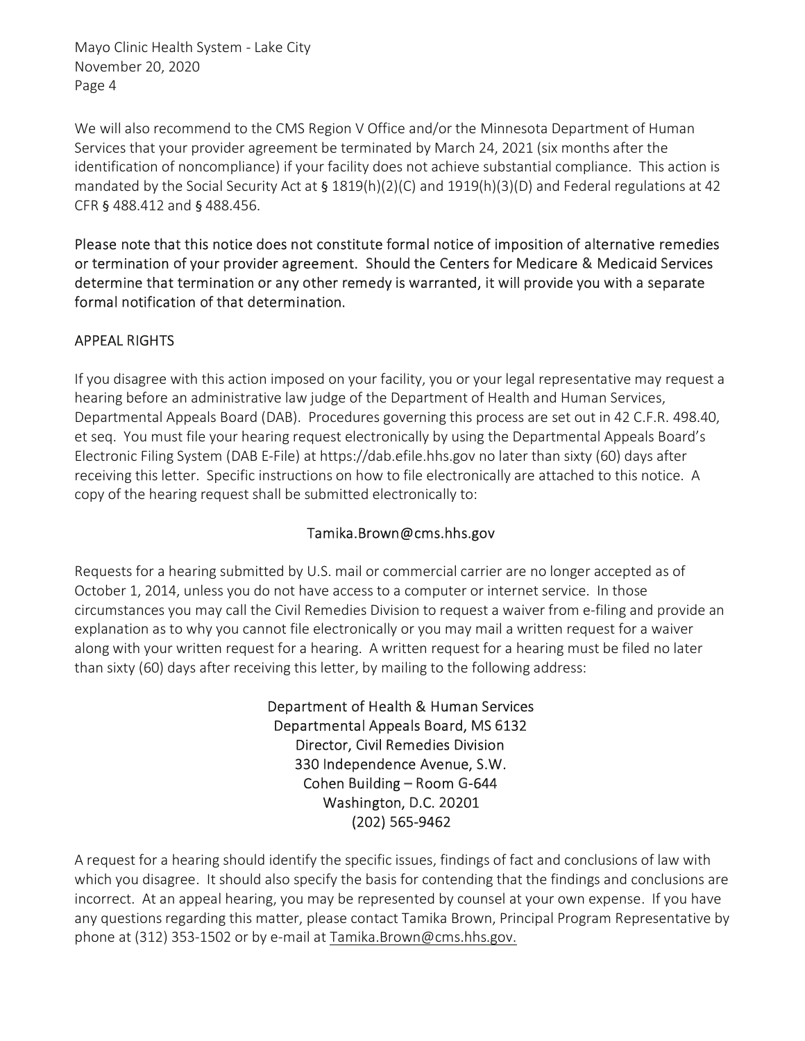Mayo Clinic Health System - Lake City November 20, 2020 Page 4

We will also recommend to the CMS Region V Office and/or the Minnesota Department of Human Services that your provider agreement be terminated by March 24, 2021 (six months after the identification of noncompliance) if your facility does not achieve substantial compliance. This action is mandated by the Social Security Act at § 1819(h)(2)(C) and 1919(h)(3)(D) and Federal regulations at 42 CFR § 488.412 and § 488.456.

Please note that this notice does not constitute formal notice of imposition of alternative remedies or termination of your provider agreement. Should the Centers for Medicare & Medicaid Services determine that termination or any other remedy is warranted, it will provide you with a separate formal notification of that determination.

# APPEAL RIGHTS

If you disagree with this action imposed on your facility, you or your legal representative may request a hearing before an administrative law judge of the Department of Health and Human Services, Departmental Appeals Board (DAB). Procedures governing this process are set out in 42 C.F.R. 498.40, et seq. You must file your hearing request electronically by using the Departmental Appeals Board's Electronic Filing System (DAB E-File) at https://dab.efile.hhs.gov no later than sixty (60) days after receiving this letter. Specific instructions on how to file electronically are attached to this notice. A copy of the hearing request shall be submitted electronically to:

### Tamika.Brown@cms.hhs.gov

Requests for a hearing submitted by U.S. mail or commercial carrier are no longer accepted as of October 1, 2014, unless you do not have access to a computer or internet service. In those circumstances you may call the Civil Remedies Division to request a waiver from e-filing and provide an explanation as to why you cannot file electronically or you may mail a written request for a waiver along with your written request for a hearing. A written request for a hearing must be filed no later than sixty (60) days after receiving this letter, by mailing to the following address:

> Department of Health & Human Services Departmental Appeals Board, MS 6132 Director, Civil Remedies Division 330 Independence Avenue, S.W. Cohen Building – Room G-644 Washington, D.C. 20201 (202) 565-9462

A request for a hearing should identify the specific issues, findings of fact and conclusions of law with which you disagree. It should also specify the basis for contending that the findings and conclusions are incorrect. At an appeal hearing, you may be represented by counsel at your own expense. If you have any questions regarding this matter, please contact Tamika Brown, Principal Program Representative by phone at (312) 353-1502 or by e-mail at Tamika.Brown@cms.hhs.gov.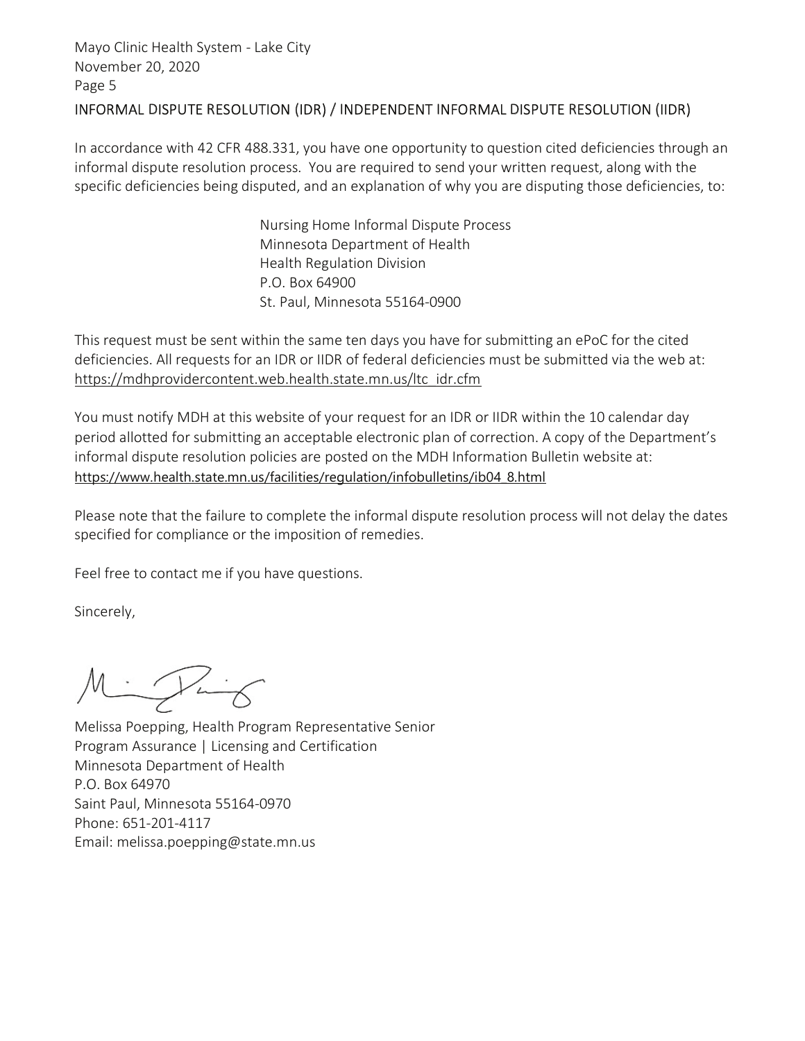### INFORMAL DISPUTE RESOLUTION (IDR) / INDEPENDENT INFORMAL DISPUTE RESOLUTION (IIDR)

In accordance with 42 CFR 488.331, you have one opportunity to question cited deficiencies through an informal dispute resolution process. You are required to send your written request, along with the specific deficiencies being disputed, and an explanation of why you are disputing those deficiencies, to:

> Nursing Home Informal Dispute Process Minnesota Department of Health Health Regulation Division P.O. Box 64900 St. Paul, Minnesota 55164-0900

This request must be sent within the same ten days you have for submitting an ePoC for the cited deficiencies. All requests for an IDR or IIDR of federal deficiencies must be submitted via the web at: https://mdhprovidercontent.web.health.state.mn.us/ltc\_idr.cfm

You must notify MDH at this website of your request for an IDR or IIDR within the 10 calendar day period allotted for submitting an acceptable electronic plan of correction. A copy of the Department's informal dispute resolution policies are posted on the MDH Information Bulletin website at: https://www.health.state.mn.us/facilities/regulation/infobulletins/ib04\_8.html

Please note that the failure to complete the informal dispute resolution process will not delay the dates specified for compliance or the imposition of remedies.

Feel free to contact me if you have questions.

Sincerely,

Mingling

Melissa Poepping, Health Program Representative Senior Program Assurance | Licensing and Certification Minnesota Department of Health P.O. Box 64970 Saint Paul, Minnesota 55164-0970 Phone: 651-201-4117 Email: melissa.poepping@state.mn.us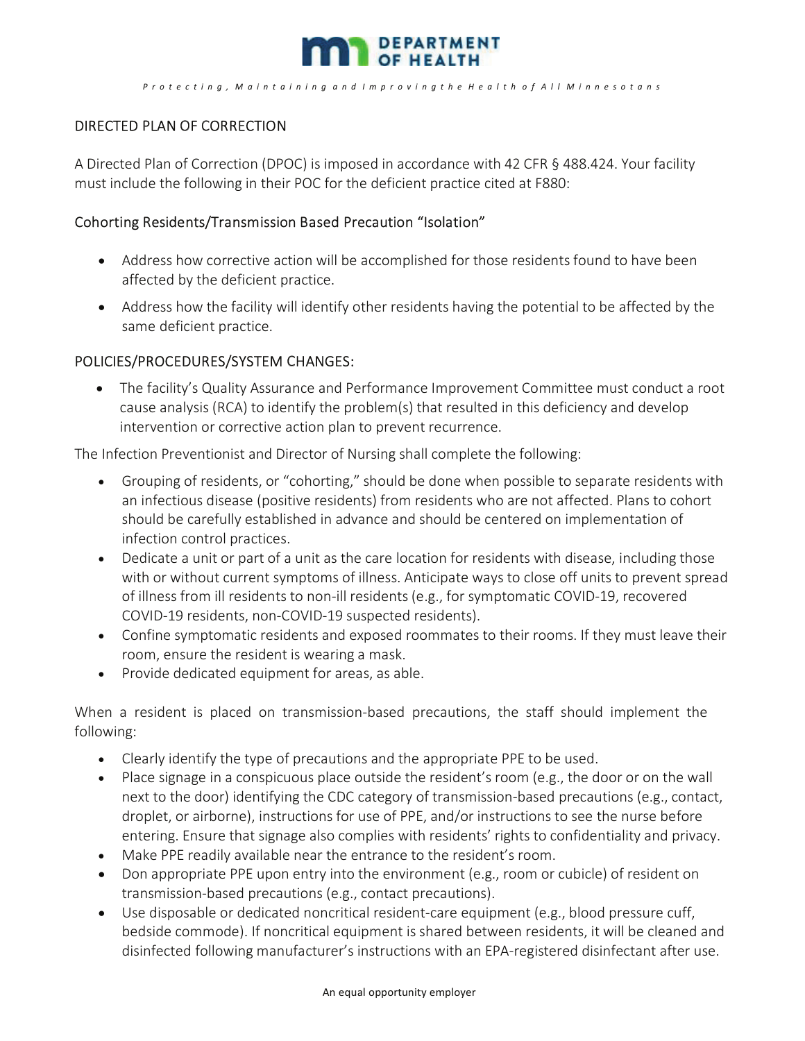

#### P r o t e c t i n g , M a i n t a i n i n g a n d I m p r o v i n g t h e H e a l t h o f A l l M i n n e s o t a n s

## DIRECTED PLAN OF CORRECTION

A Directed Plan of Correction (DPOC) is imposed in accordance with 42 CFR § 488.424. Your facility must include the following in their POC for the deficient practice cited at F880:

#### Cohorting Residents/Transmission Based Precaution "Isolation"

- · Address how corrective action will be accomplished for those residents found to have been affected by the deficient practice.
- · Address how the facility will identify other residents having the potential to be affected by the same deficient practice.

#### POLICIES/PROCEDURES/SYSTEM CHANGES:

· The facility's Quality Assurance and Performance Improvement Committee must conduct a root cause analysis (RCA) to identify the problem(s) that resulted in this deficiency and develop intervention or corrective action plan to prevent recurrence.

The Infection Preventionist and Director of Nursing shall complete the following:

- · Grouping of residents, or "cohorting," should be done when possible to separate residents with an infectious disease (positive residents) from residents who are not affected. Plans to cohort should be carefully established in advance and should be centered on implementation of infection control practices.
- · Dedicate a unit or part of a unit as the care location for residents with disease, including those with or without current symptoms of illness. Anticipate ways to close off units to prevent spread of illness from ill residents to non-ill residents (e.g., for symptomatic COVID-19, recovered COVID-19 residents, non-COVID-19 suspected residents).
- · Confine symptomatic residents and exposed roommates to their rooms. If they must leave their room, ensure the resident is wearing a mask.
- · Provide dedicated equipment for areas, as able.

When a resident is placed on transmission-based precautions, the staff should implement the following:

- · Clearly identify the type of precautions and the appropriate PPE to be used.
- · Place signage in a conspicuous place outside the resident's room (e.g., the door or on the wall next to the door) identifying the CDC category of transmission-based precautions (e.g., contact, droplet, or airborne), instructions for use of PPE, and/or instructions to see the nurse before entering. Ensure that signage also complies with residents' rights to confidentiality and privacy.
- · Make PPE readily available near the entrance to the resident's room.
- Don appropriate PPE upon entry into the environment (e.g., room or cubicle) of resident on transmission-based precautions (e.g., contact precautions).
- · Use disposable or dedicated noncritical resident-care equipment (e.g., blood pressure cuff, bedside commode). If noncritical equipment is shared between residents, it will be cleaned and disinfected following manufacturer's instructions with an EPA-registered disinfectant after use.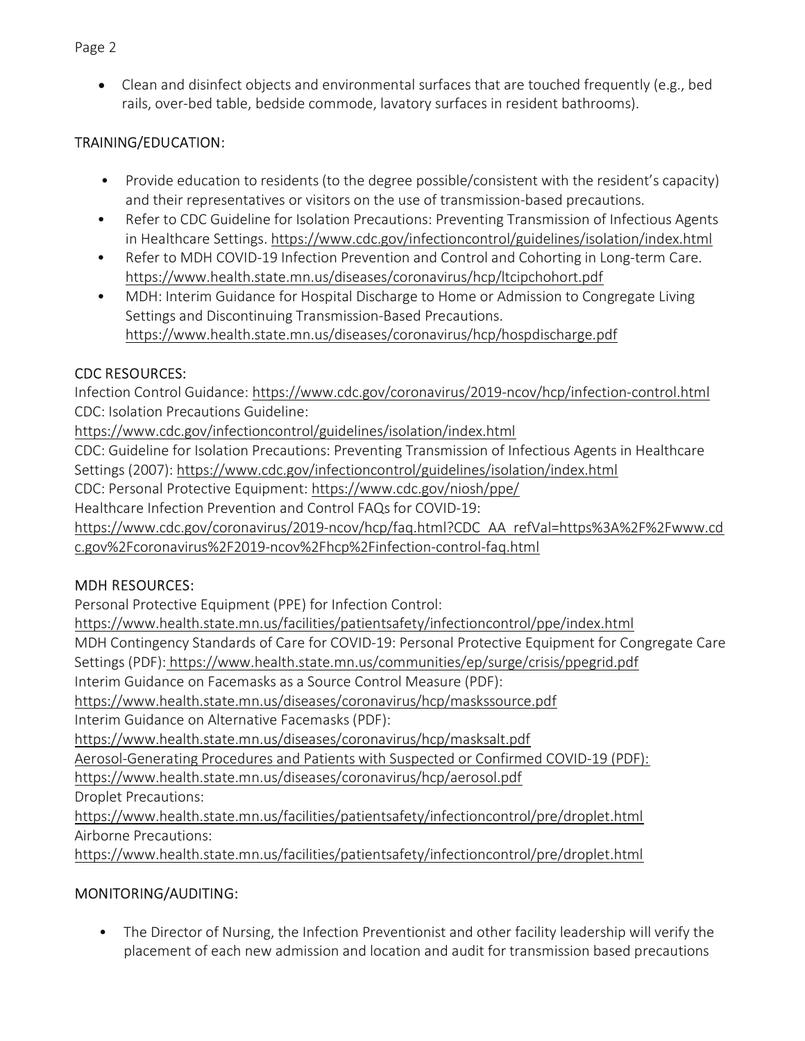• Clean and disinfect objects and environmental surfaces that are touched frequently (e.g., bed rails, over-bed table, bedside commode, lavatory surfaces in resident bathrooms).

# TRAINING/EDUCATION:

- Provide education to residents (to the degree possible/consistent with the resident's capacity) and their representatives or visitors on the use of transmission-based precautions.
- Refer to CDC Guideline for Isolation Precautions: Preventing Transmission of Infectious Agents in Healthcare Settings. https://www.cdc.gov/infectioncontrol/guidelines/isolation/index.html
- Refer to MDH COVID-19 Infection Prevention and Control and Cohorting in Long-term Care. https://www.health.state.mn.us/diseases/coronavirus/hcp/ltcipchohort.pdf
- MDH: Interim Guidance for Hospital Discharge to Home or Admission to Congregate Living Settings and Discontinuing Transmission-Based Precautions. https://www.health.state.mn.us/diseases/coronavirus/hcp/hospdischarge.pdf

# CDC RESOURCES:

Infection Control Guidance: https://www.cdc.gov/coronavirus/2019-ncov/hcp/infection-control.html CDC: Isolation Precautions Guideline:

https://www.cdc.gov/infectioncontrol/guidelines/isolation/index.html

CDC: Guideline for Isolation Precautions: Preventing Transmission of Infectious Agents in Healthcare Settings (2007): https://www.cdc.gov/infectioncontrol/guidelines/isolation/index.html

CDC: Personal Protective Equipment: https://www.cdc.gov/niosh/ppe/

Healthcare Infection Prevention and Control FAQs for COVID-19:

https://www.cdc.gov/coronavirus/2019-ncov/hcp/faq.html?CDC\_AA\_refVal=https%3A%2F%2Fwww.cd c.gov%2Fcoronavirus%2F2019-ncov%2Fhcp%2Finfection-control-faq.html

# MDH RESOURCES:

Personal Protective Equipment (PPE) for Infection Control:

https://www.health.state.mn.us/facilities/patientsafety/infectioncontrol/ppe/index.html

MDH Contingency Standards of Care for COVID-19: Personal Protective Equipment for Congregate Care Settings (PDF): https://www.health.state.mn.us/communities/ep/surge/crisis/ppegrid.pdf

Interim Guidance on Facemasks as a Source Control Measure (PDF):

https://www.health.state.mn.us/diseases/coronavirus/hcp/maskssource.pdf

Interim Guidance on Alternative Facemasks (PDF):

https://www.health.state.mn.us/diseases/coronavirus/hcp/masksalt.pdf

Aerosol-Generating Procedures and Patients with Suspected or Confirmed COVID-19 (PDF):

https://www.health.state.mn.us/diseases/coronavirus/hcp/aerosol.pdf

Droplet Precautions:

https://www.health.state.mn.us/facilities/patientsafety/infectioncontrol/pre/droplet.html Airborne Precautions:

https://www.health.state.mn.us/facilities/patientsafety/infectioncontrol/pre/droplet.html

# MONITORING/AUDITING:

• The Director of Nursing, the Infection Preventionist and other facility leadership will verify the placement of each new admission and location and audit for transmission based precautions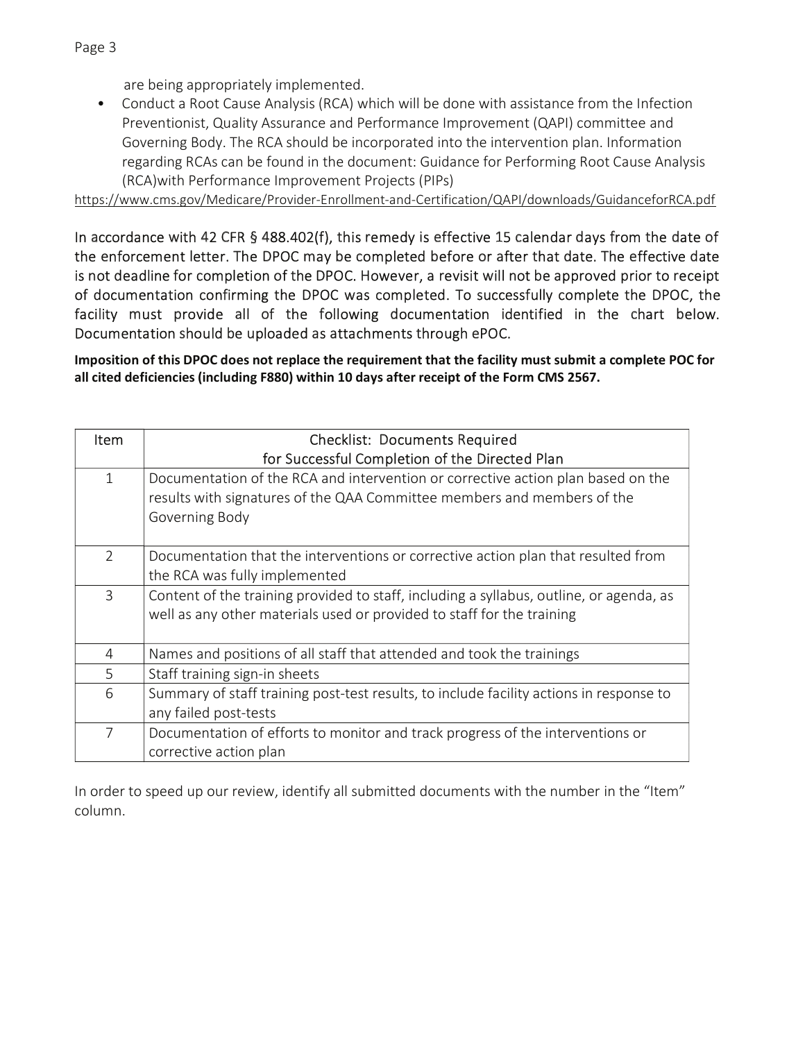are being appropriately implemented.

• Conduct a Root Cause Analysis (RCA) which will be done with assistance from the Infection Preventionist, Quality Assurance and Performance Improvement (QAPI) committee and Governing Body. The RCA should be incorporated into the intervention plan. Information regarding RCAs can be found in the document: Guidance for Performing Root Cause Analysis (RCA)with Performance Improvement Projects (PIPs)

https://www.cms.gov/Medicare/Provider-Enrollment-and-Certification/QAPI/downloads/GuidanceforRCA.pdf

In accordance with 42 CFR § 488.402(f), this remedy is effective 15 calendar days from the date of the enforcement letter. The DPOC may be completed before or after that date. The effective date is not deadline for completion of the DPOC. However, a revisit will not be approved prior to receipt of documentation confirming the DPOC was completed. To successfully complete the DPOC, the facility must provide all of the following documentation identified in the chart below. Documentation should be uploaded as attachments through ePOC.

Imposition of this DPOC does not replace the requirement that the facility must submit a complete POC for all cited deficiencies (including F880) within 10 days after receipt of the Form CMS 2567.

| Item          | <b>Checklist: Documents Required</b>                                                                                                                                          |
|---------------|-------------------------------------------------------------------------------------------------------------------------------------------------------------------------------|
|               | for Successful Completion of the Directed Plan                                                                                                                                |
| $\mathbf{1}$  | Documentation of the RCA and intervention or corrective action plan based on the<br>results with signatures of the QAA Committee members and members of the<br>Governing Body |
| $\mathcal{P}$ | Documentation that the interventions or corrective action plan that resulted from<br>the RCA was fully implemented                                                            |
| 3             | Content of the training provided to staff, including a syllabus, outline, or agenda, as<br>well as any other materials used or provided to staff for the training             |
| 4             | Names and positions of all staff that attended and took the trainings                                                                                                         |
| 5             | Staff training sign-in sheets                                                                                                                                                 |
| 6             | Summary of staff training post-test results, to include facility actions in response to<br>any failed post-tests                                                              |
| 7             | Documentation of efforts to monitor and track progress of the interventions or<br>corrective action plan                                                                      |

In order to speed up our review, identify all submitted documents with the number in the "Item" column.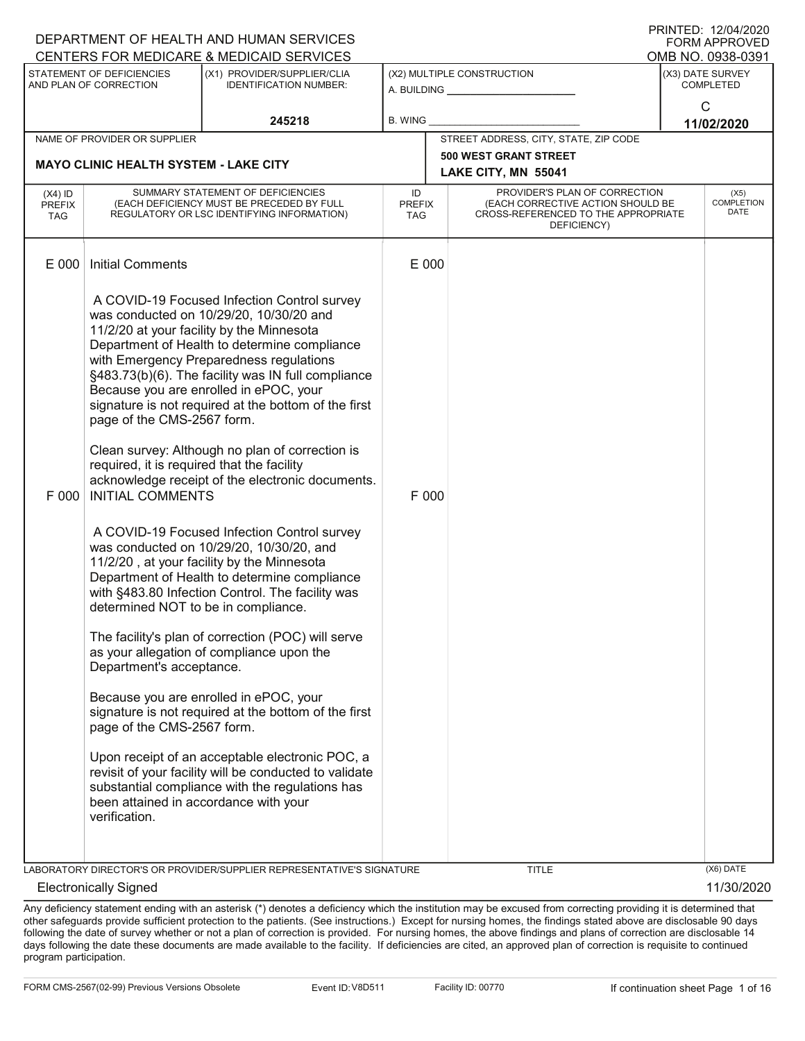| DEPARTMENT OF HEALTH AND HUMAN SERVICES  |                                                                                                                                                                                                                                                                |                                                                                                                                                                                                                                                                                                                                                                                                                                                                                                                                                                                                                                                                                                                                                                                                                                                                                                                                                                                                                                                                                                                 |                            |                                                                     |                                                                                                                          |  | FORM APPROVED                        |  |
|------------------------------------------|----------------------------------------------------------------------------------------------------------------------------------------------------------------------------------------------------------------------------------------------------------------|-----------------------------------------------------------------------------------------------------------------------------------------------------------------------------------------------------------------------------------------------------------------------------------------------------------------------------------------------------------------------------------------------------------------------------------------------------------------------------------------------------------------------------------------------------------------------------------------------------------------------------------------------------------------------------------------------------------------------------------------------------------------------------------------------------------------------------------------------------------------------------------------------------------------------------------------------------------------------------------------------------------------------------------------------------------------------------------------------------------------|----------------------------|---------------------------------------------------------------------|--------------------------------------------------------------------------------------------------------------------------|--|--------------------------------------|--|
|                                          |                                                                                                                                                                                                                                                                | CENTERS FOR MEDICARE & MEDICAID SERVICES                                                                                                                                                                                                                                                                                                                                                                                                                                                                                                                                                                                                                                                                                                                                                                                                                                                                                                                                                                                                                                                                        |                            |                                                                     |                                                                                                                          |  | OMB NO. 0938-0391                    |  |
|                                          | STATEMENT OF DEFICIENCIES<br>AND PLAN OF CORRECTION                                                                                                                                                                                                            | (X1) PROVIDER/SUPPLIER/CLIA<br><b>IDENTIFICATION NUMBER:</b>                                                                                                                                                                                                                                                                                                                                                                                                                                                                                                                                                                                                                                                                                                                                                                                                                                                                                                                                                                                                                                                    |                            | (X2) MULTIPLE CONSTRUCTION<br>A. BUILDING <u>__________________</u> |                                                                                                                          |  | (X3) DATE SURVEY<br><b>COMPLETED</b> |  |
|                                          |                                                                                                                                                                                                                                                                | 245218                                                                                                                                                                                                                                                                                                                                                                                                                                                                                                                                                                                                                                                                                                                                                                                                                                                                                                                                                                                                                                                                                                          | <b>B. WING</b>             |                                                                     |                                                                                                                          |  | C<br>11/02/2020                      |  |
|                                          | NAME OF PROVIDER OR SUPPLIER                                                                                                                                                                                                                                   |                                                                                                                                                                                                                                                                                                                                                                                                                                                                                                                                                                                                                                                                                                                                                                                                                                                                                                                                                                                                                                                                                                                 |                            |                                                                     | STREET ADDRESS, CITY, STATE, ZIP CODE                                                                                    |  |                                      |  |
|                                          | <b>MAYO CLINIC HEALTH SYSTEM - LAKE CITY</b>                                                                                                                                                                                                                   |                                                                                                                                                                                                                                                                                                                                                                                                                                                                                                                                                                                                                                                                                                                                                                                                                                                                                                                                                                                                                                                                                                                 |                            |                                                                     | <b>500 WEST GRANT STREET</b>                                                                                             |  |                                      |  |
|                                          |                                                                                                                                                                                                                                                                |                                                                                                                                                                                                                                                                                                                                                                                                                                                                                                                                                                                                                                                                                                                                                                                                                                                                                                                                                                                                                                                                                                                 |                            |                                                                     | LAKE CITY, MN 55041                                                                                                      |  |                                      |  |
| $(X4)$ ID<br><b>PREFIX</b><br><b>TAG</b> |                                                                                                                                                                                                                                                                | SUMMARY STATEMENT OF DEFICIENCIES<br>(EACH DEFICIENCY MUST BE PRECEDED BY FULL<br>REGULATORY OR LSC IDENTIFYING INFORMATION)                                                                                                                                                                                                                                                                                                                                                                                                                                                                                                                                                                                                                                                                                                                                                                                                                                                                                                                                                                                    | ID<br><b>PREFIX</b><br>TAG |                                                                     | PROVIDER'S PLAN OF CORRECTION<br>(EACH CORRECTIVE ACTION SHOULD BE<br>CROSS-REFERENCED TO THE APPROPRIATE<br>DEFICIENCY) |  | (X5)<br><b>COMPLETION</b><br>DATE    |  |
| E 000                                    | <b>Initial Comments</b>                                                                                                                                                                                                                                        |                                                                                                                                                                                                                                                                                                                                                                                                                                                                                                                                                                                                                                                                                                                                                                                                                                                                                                                                                                                                                                                                                                                 | E 000                      |                                                                     |                                                                                                                          |  |                                      |  |
| F 000                                    | page of the CMS-2567 form.<br>required, it is required that the facility<br><b>INITIAL COMMENTS</b><br>determined NOT to be in compliance.<br>Department's acceptance.<br>page of the CMS-2567 form.<br>been attained in accordance with your<br>verification. | A COVID-19 Focused Infection Control survey<br>was conducted on 10/29/20, 10/30/20 and<br>11/2/20 at your facility by the Minnesota<br>Department of Health to determine compliance<br>with Emergency Preparedness regulations<br>§483.73(b)(6). The facility was IN full compliance<br>Because you are enrolled in ePOC, your<br>signature is not required at the bottom of the first<br>Clean survey: Although no plan of correction is<br>acknowledge receipt of the electronic documents.<br>A COVID-19 Focused Infection Control survey<br>was conducted on 10/29/20, 10/30/20, and<br>11/2/20, at your facility by the Minnesota<br>Department of Health to determine compliance<br>with §483.80 Infection Control. The facility was<br>The facility's plan of correction (POC) will serve<br>as your allegation of compliance upon the<br>Because you are enrolled in ePOC, your<br>signature is not required at the bottom of the first<br>Upon receipt of an acceptable electronic POC, a<br>revisit of your facility will be conducted to validate<br>substantial compliance with the regulations has | F 000                      |                                                                     |                                                                                                                          |  |                                      |  |
|                                          |                                                                                                                                                                                                                                                                |                                                                                                                                                                                                                                                                                                                                                                                                                                                                                                                                                                                                                                                                                                                                                                                                                                                                                                                                                                                                                                                                                                                 |                            |                                                                     |                                                                                                                          |  |                                      |  |
|                                          |                                                                                                                                                                                                                                                                | LABORATORY DIRECTOR'S OR PROVIDER/SUPPLIER REPRESENTATIVE'S SIGNATURE                                                                                                                                                                                                                                                                                                                                                                                                                                                                                                                                                                                                                                                                                                                                                                                                                                                                                                                                                                                                                                           |                            |                                                                     | <b>TITLE</b>                                                                                                             |  | (X6) DATE                            |  |
|                                          | <b>Electronically Signed</b>                                                                                                                                                                                                                                   |                                                                                                                                                                                                                                                                                                                                                                                                                                                                                                                                                                                                                                                                                                                                                                                                                                                                                                                                                                                                                                                                                                                 |                            |                                                                     |                                                                                                                          |  | 11/30/2020                           |  |

Any deficiency statement ending with an asterisk (\*) denotes a deficiency which the institution may be excused from correcting providing it is determined that other safeguards provide sufficient protection to the patients. (See instructions.) Except for nursing homes, the findings stated above are disclosable 90 days following the date of survey whether or not a plan of correction is provided. For nursing homes, the above findings and plans of correction are disclosable 14 days following the date these documents are made available to the facility. If deficiencies are cited, an approved plan of correction is requisite to continued program participation.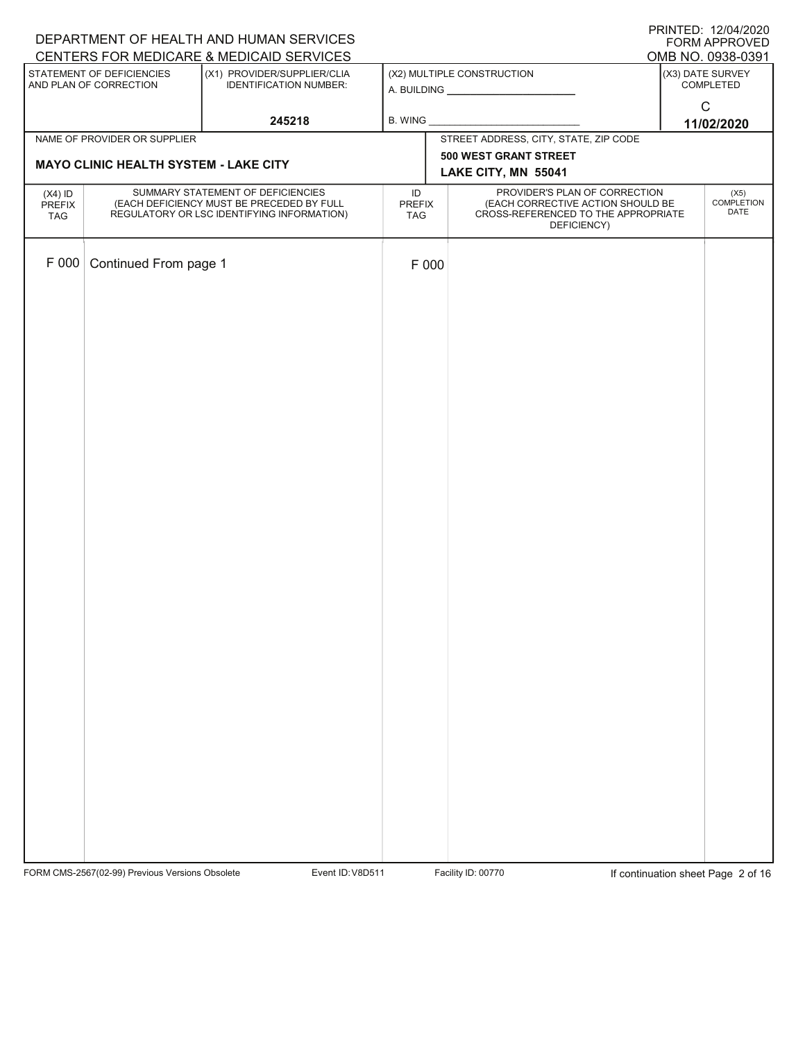| DEPARTMENT OF HEALTH AND HUMAN SERVICES | <b>PRINTED: 12/04/2020</b><br>FORM APPROVED                                    |                                                                         |                     |                                                                    |                                       |
|-----------------------------------------|--------------------------------------------------------------------------------|-------------------------------------------------------------------------|---------------------|--------------------------------------------------------------------|---------------------------------------|
|                                         | STATEMENT OF DEFICIENCIES                                                      | CENTERS FOR MEDICARE & MEDICAID SERVICES<br>(X1) PROVIDER/SUPPLIER/CLIA |                     | (X2) MULTIPLE CONSTRUCTION                                         | OMB NO. 0938-0391<br>(X3) DATE SURVEY |
|                                         | AND PLAN OF CORRECTION                                                         | <b>IDENTIFICATION NUMBER:</b>                                           |                     |                                                                    | COMPLETED                             |
|                                         |                                                                                | 245218                                                                  | B. WING             |                                                                    | $\mathsf C$                           |
|                                         | NAME OF PROVIDER OR SUPPLIER                                                   |                                                                         |                     | STREET ADDRESS, CITY, STATE, ZIP CODE                              | 11/02/2020                            |
|                                         | <b>MAYO CLINIC HEALTH SYSTEM - LAKE CITY</b>                                   |                                                                         |                     | 500 WEST GRANT STREET                                              |                                       |
|                                         |                                                                                |                                                                         |                     | LAKE CITY, MN 55041                                                |                                       |
| $(X4)$ ID<br>PREFIX                     | SUMMARY STATEMENT OF DEFICIENCIES<br>(EACH DEFICIENCY MUST BE PRECEDED BY FULL |                                                                         | ID<br><b>PREFIX</b> | PROVIDER'S PLAN OF CORRECTION<br>(EACH CORRECTIVE ACTION SHOULD BE | (X5)<br><b>COMPLETION</b>             |
| TAG                                     |                                                                                | REGULATORY OR LSC IDENTIFYING INFORMATION)                              | TAG                 | CROSS-REFERENCED TO THE APPROPRIATE<br>DEFICIENCY)                 | DATE                                  |
|                                         |                                                                                |                                                                         |                     |                                                                    |                                       |
| F 000                                   | Continued From page 1                                                          |                                                                         | F 000               |                                                                    |                                       |
|                                         |                                                                                |                                                                         |                     |                                                                    |                                       |
|                                         |                                                                                |                                                                         |                     |                                                                    |                                       |
|                                         |                                                                                |                                                                         |                     |                                                                    |                                       |
|                                         |                                                                                |                                                                         |                     |                                                                    |                                       |
|                                         |                                                                                |                                                                         |                     |                                                                    |                                       |
|                                         |                                                                                |                                                                         |                     |                                                                    |                                       |
|                                         |                                                                                |                                                                         |                     |                                                                    |                                       |
|                                         |                                                                                |                                                                         |                     |                                                                    |                                       |
|                                         |                                                                                |                                                                         |                     |                                                                    |                                       |
|                                         |                                                                                |                                                                         |                     |                                                                    |                                       |
|                                         |                                                                                |                                                                         |                     |                                                                    |                                       |
|                                         |                                                                                |                                                                         |                     |                                                                    |                                       |
|                                         |                                                                                |                                                                         |                     |                                                                    |                                       |
|                                         |                                                                                |                                                                         |                     |                                                                    |                                       |
|                                         |                                                                                |                                                                         |                     |                                                                    |                                       |
|                                         |                                                                                |                                                                         |                     |                                                                    |                                       |
|                                         |                                                                                |                                                                         |                     |                                                                    |                                       |
|                                         |                                                                                |                                                                         |                     |                                                                    |                                       |
|                                         |                                                                                |                                                                         |                     |                                                                    |                                       |
|                                         |                                                                                |                                                                         |                     |                                                                    |                                       |
|                                         |                                                                                |                                                                         |                     |                                                                    |                                       |
|                                         |                                                                                |                                                                         |                     |                                                                    |                                       |
|                                         |                                                                                |                                                                         |                     |                                                                    |                                       |
|                                         |                                                                                |                                                                         |                     |                                                                    |                                       |
|                                         |                                                                                |                                                                         |                     |                                                                    |                                       |
|                                         |                                                                                |                                                                         |                     |                                                                    |                                       |
|                                         |                                                                                |                                                                         |                     |                                                                    |                                       |
|                                         |                                                                                |                                                                         |                     |                                                                    |                                       |

FORM CMS-2567(02-99) Previous Versions Obsolete Variation School Event ID: V8D511 Facility ID: 00770 If continuation sheet Page 2 of 16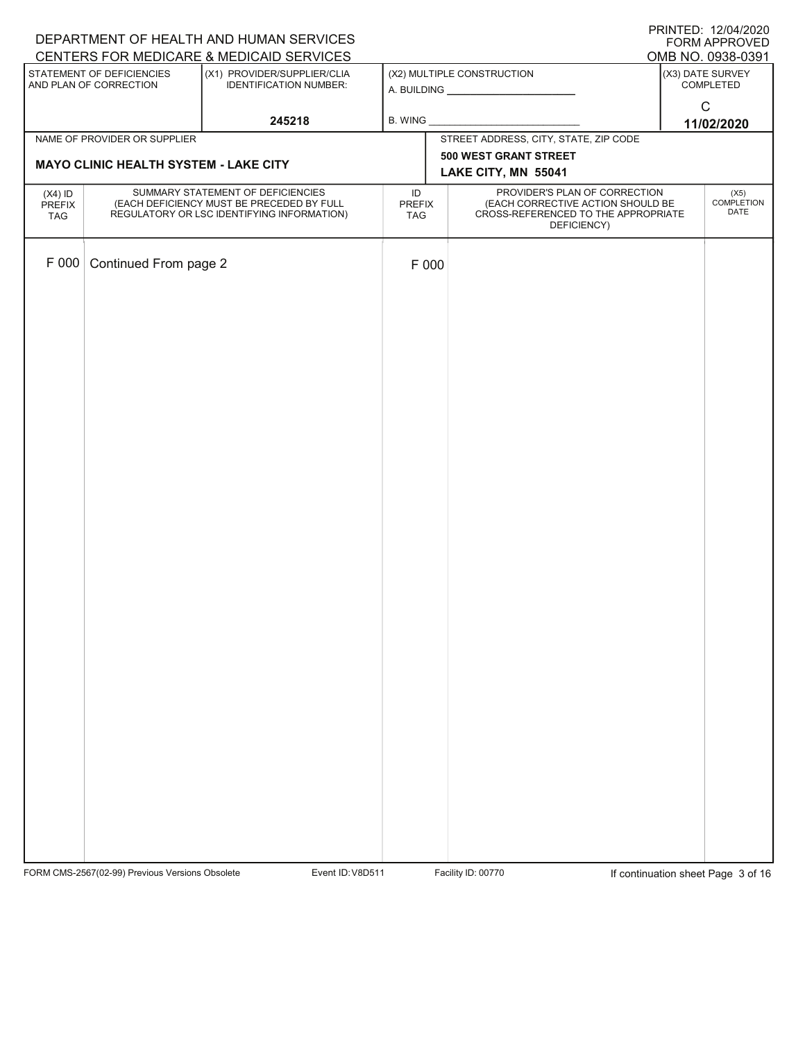| DEPARTMENT OF HEALTH AND HUMAN SERVICES | <b>PRINTED: 12/04/2020</b><br>FORM APPROVED                                    |                                                                         |                     |                                                                    |                                       |
|-----------------------------------------|--------------------------------------------------------------------------------|-------------------------------------------------------------------------|---------------------|--------------------------------------------------------------------|---------------------------------------|
|                                         | STATEMENT OF DEFICIENCIES                                                      | CENTERS FOR MEDICARE & MEDICAID SERVICES<br>(X1) PROVIDER/SUPPLIER/CLIA |                     | (X2) MULTIPLE CONSTRUCTION                                         | OMB NO. 0938-0391<br>(X3) DATE SURVEY |
|                                         | AND PLAN OF CORRECTION                                                         | <b>IDENTIFICATION NUMBER:</b>                                           |                     |                                                                    | COMPLETED                             |
|                                         |                                                                                | 245218                                                                  | B. WING             |                                                                    | $\mathsf C$                           |
|                                         | NAME OF PROVIDER OR SUPPLIER                                                   |                                                                         |                     | STREET ADDRESS, CITY, STATE, ZIP CODE                              | 11/02/2020                            |
|                                         | <b>MAYO CLINIC HEALTH SYSTEM - LAKE CITY</b>                                   |                                                                         |                     | 500 WEST GRANT STREET                                              |                                       |
|                                         |                                                                                |                                                                         |                     | LAKE CITY, MN 55041                                                |                                       |
| $(X4)$ ID<br>PREFIX                     | SUMMARY STATEMENT OF DEFICIENCIES<br>(EACH DEFICIENCY MUST BE PRECEDED BY FULL |                                                                         | ID<br><b>PREFIX</b> | PROVIDER'S PLAN OF CORRECTION<br>(EACH CORRECTIVE ACTION SHOULD BE | (X5)<br><b>COMPLETION</b>             |
| TAG                                     |                                                                                | REGULATORY OR LSC IDENTIFYING INFORMATION)                              | TAG                 | CROSS-REFERENCED TO THE APPROPRIATE<br>DEFICIENCY)                 | DATE                                  |
|                                         |                                                                                |                                                                         |                     |                                                                    |                                       |
| F 000                                   | Continued From page 2                                                          |                                                                         | F 000               |                                                                    |                                       |
|                                         |                                                                                |                                                                         |                     |                                                                    |                                       |
|                                         |                                                                                |                                                                         |                     |                                                                    |                                       |
|                                         |                                                                                |                                                                         |                     |                                                                    |                                       |
|                                         |                                                                                |                                                                         |                     |                                                                    |                                       |
|                                         |                                                                                |                                                                         |                     |                                                                    |                                       |
|                                         |                                                                                |                                                                         |                     |                                                                    |                                       |
|                                         |                                                                                |                                                                         |                     |                                                                    |                                       |
|                                         |                                                                                |                                                                         |                     |                                                                    |                                       |
|                                         |                                                                                |                                                                         |                     |                                                                    |                                       |
|                                         |                                                                                |                                                                         |                     |                                                                    |                                       |
|                                         |                                                                                |                                                                         |                     |                                                                    |                                       |
|                                         |                                                                                |                                                                         |                     |                                                                    |                                       |
|                                         |                                                                                |                                                                         |                     |                                                                    |                                       |
|                                         |                                                                                |                                                                         |                     |                                                                    |                                       |
|                                         |                                                                                |                                                                         |                     |                                                                    |                                       |
|                                         |                                                                                |                                                                         |                     |                                                                    |                                       |
|                                         |                                                                                |                                                                         |                     |                                                                    |                                       |
|                                         |                                                                                |                                                                         |                     |                                                                    |                                       |
|                                         |                                                                                |                                                                         |                     |                                                                    |                                       |
|                                         |                                                                                |                                                                         |                     |                                                                    |                                       |
|                                         |                                                                                |                                                                         |                     |                                                                    |                                       |
|                                         |                                                                                |                                                                         |                     |                                                                    |                                       |
|                                         |                                                                                |                                                                         |                     |                                                                    |                                       |
|                                         |                                                                                |                                                                         |                     |                                                                    |                                       |
|                                         |                                                                                |                                                                         |                     |                                                                    |                                       |
|                                         |                                                                                |                                                                         |                     |                                                                    |                                       |
|                                         |                                                                                |                                                                         |                     |                                                                    |                                       |
|                                         |                                                                                |                                                                         |                     |                                                                    |                                       |

FORM CMS-2567(02-99) Previous Versions Obsolete Variation School Event ID: V8D511 Facility ID: 00770 If continuation sheet Page 3 of 16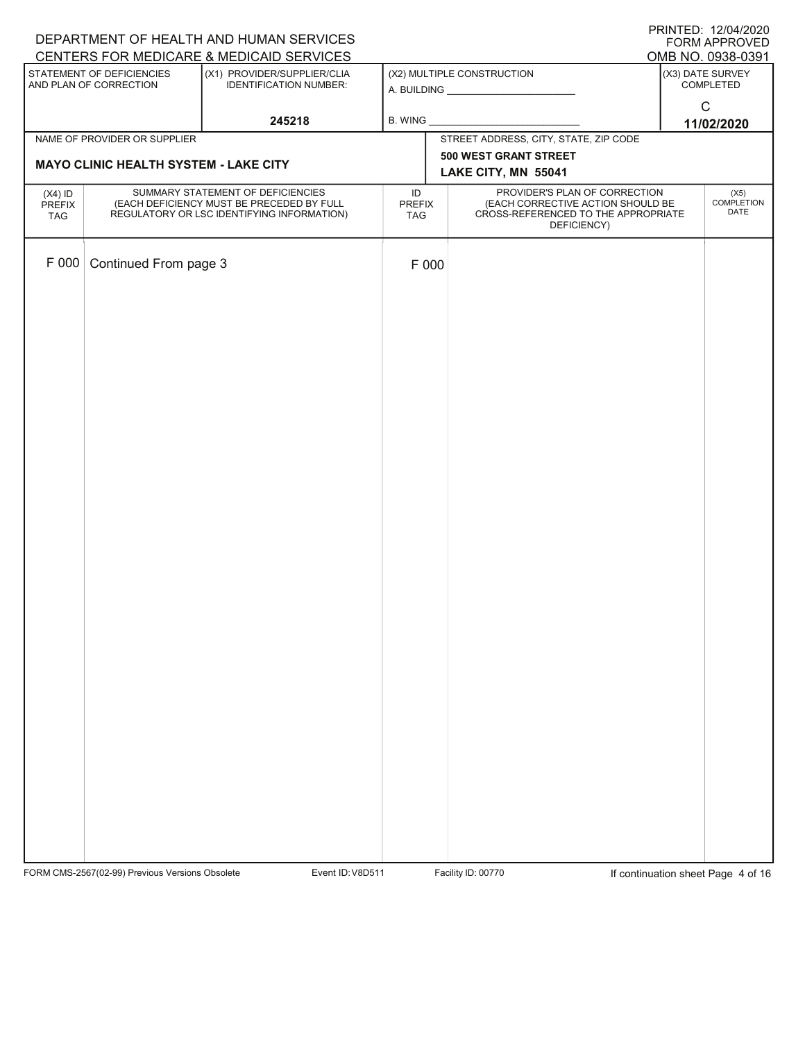| DEPARTMENT OF HEALTH AND HUMAN SERVICES | <b>PRINTED: 12/04/2020</b><br>FORM APPROVED                                    |                                                                         |                     |                                                                    |                                       |
|-----------------------------------------|--------------------------------------------------------------------------------|-------------------------------------------------------------------------|---------------------|--------------------------------------------------------------------|---------------------------------------|
|                                         | STATEMENT OF DEFICIENCIES                                                      | CENTERS FOR MEDICARE & MEDICAID SERVICES<br>(X1) PROVIDER/SUPPLIER/CLIA |                     | (X2) MULTIPLE CONSTRUCTION                                         | OMB NO. 0938-0391<br>(X3) DATE SURVEY |
|                                         | AND PLAN OF CORRECTION                                                         | <b>IDENTIFICATION NUMBER:</b>                                           |                     |                                                                    | COMPLETED                             |
|                                         |                                                                                | 245218                                                                  | B. WING             |                                                                    | $\mathsf C$                           |
|                                         | NAME OF PROVIDER OR SUPPLIER                                                   |                                                                         |                     | STREET ADDRESS, CITY, STATE, ZIP CODE                              | 11/02/2020                            |
|                                         | <b>MAYO CLINIC HEALTH SYSTEM - LAKE CITY</b>                                   |                                                                         |                     | 500 WEST GRANT STREET                                              |                                       |
|                                         |                                                                                |                                                                         |                     | LAKE CITY, MN 55041                                                |                                       |
| $(X4)$ ID<br>PREFIX                     | SUMMARY STATEMENT OF DEFICIENCIES<br>(EACH DEFICIENCY MUST BE PRECEDED BY FULL |                                                                         | ID<br><b>PREFIX</b> | PROVIDER'S PLAN OF CORRECTION<br>(EACH CORRECTIVE ACTION SHOULD BE | (X5)<br><b>COMPLETION</b>             |
| TAG                                     |                                                                                | REGULATORY OR LSC IDENTIFYING INFORMATION)                              | TAG                 | CROSS-REFERENCED TO THE APPROPRIATE<br>DEFICIENCY)                 | DATE                                  |
|                                         |                                                                                |                                                                         |                     |                                                                    |                                       |
| F 000                                   | Continued From page 3                                                          |                                                                         | F 000               |                                                                    |                                       |
|                                         |                                                                                |                                                                         |                     |                                                                    |                                       |
|                                         |                                                                                |                                                                         |                     |                                                                    |                                       |
|                                         |                                                                                |                                                                         |                     |                                                                    |                                       |
|                                         |                                                                                |                                                                         |                     |                                                                    |                                       |
|                                         |                                                                                |                                                                         |                     |                                                                    |                                       |
|                                         |                                                                                |                                                                         |                     |                                                                    |                                       |
|                                         |                                                                                |                                                                         |                     |                                                                    |                                       |
|                                         |                                                                                |                                                                         |                     |                                                                    |                                       |
|                                         |                                                                                |                                                                         |                     |                                                                    |                                       |
|                                         |                                                                                |                                                                         |                     |                                                                    |                                       |
|                                         |                                                                                |                                                                         |                     |                                                                    |                                       |
|                                         |                                                                                |                                                                         |                     |                                                                    |                                       |
|                                         |                                                                                |                                                                         |                     |                                                                    |                                       |
|                                         |                                                                                |                                                                         |                     |                                                                    |                                       |
|                                         |                                                                                |                                                                         |                     |                                                                    |                                       |
|                                         |                                                                                |                                                                         |                     |                                                                    |                                       |
|                                         |                                                                                |                                                                         |                     |                                                                    |                                       |
|                                         |                                                                                |                                                                         |                     |                                                                    |                                       |
|                                         |                                                                                |                                                                         |                     |                                                                    |                                       |
|                                         |                                                                                |                                                                         |                     |                                                                    |                                       |
|                                         |                                                                                |                                                                         |                     |                                                                    |                                       |
|                                         |                                                                                |                                                                         |                     |                                                                    |                                       |
|                                         |                                                                                |                                                                         |                     |                                                                    |                                       |
|                                         |                                                                                |                                                                         |                     |                                                                    |                                       |
|                                         |                                                                                |                                                                         |                     |                                                                    |                                       |
|                                         |                                                                                |                                                                         |                     |                                                                    |                                       |
|                                         |                                                                                |                                                                         |                     |                                                                    |                                       |
|                                         |                                                                                |                                                                         |                     |                                                                    |                                       |

FORM CMS-2567(02-99) Previous Versions Obsolete Variation School Event ID: V8D511 Facility ID: 00770 If continuation sheet Page 4 of 16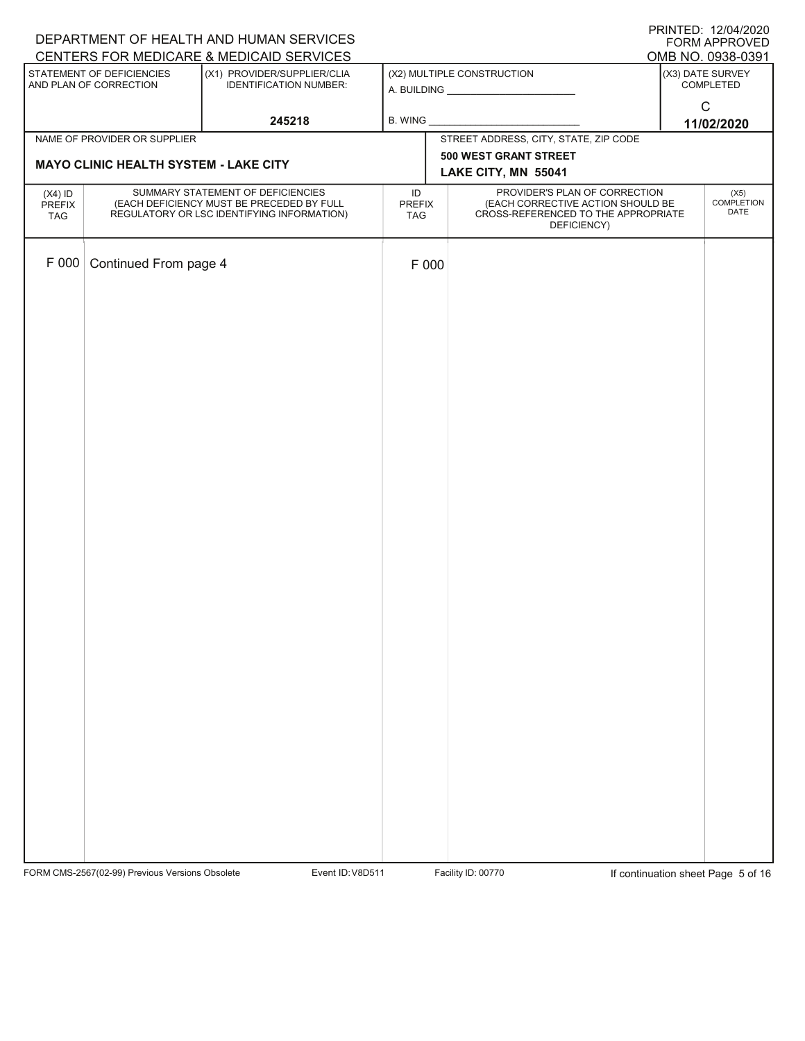| DEPARTMENT OF HEALTH AND HUMAN SERVICES | <b>PRINTED: 12/04/2020</b><br>FORM APPROVED                                    |                                                                         |                     |                                                                    |                                       |
|-----------------------------------------|--------------------------------------------------------------------------------|-------------------------------------------------------------------------|---------------------|--------------------------------------------------------------------|---------------------------------------|
|                                         | STATEMENT OF DEFICIENCIES                                                      | CENTERS FOR MEDICARE & MEDICAID SERVICES<br>(X1) PROVIDER/SUPPLIER/CLIA |                     | (X2) MULTIPLE CONSTRUCTION                                         | OMB NO. 0938-0391<br>(X3) DATE SURVEY |
|                                         | AND PLAN OF CORRECTION                                                         | <b>IDENTIFICATION NUMBER:</b>                                           |                     |                                                                    | COMPLETED                             |
|                                         |                                                                                | 245218                                                                  | B. WING             |                                                                    | $\mathsf C$                           |
|                                         | NAME OF PROVIDER OR SUPPLIER                                                   |                                                                         |                     | STREET ADDRESS, CITY, STATE, ZIP CODE                              | 11/02/2020                            |
|                                         |                                                                                |                                                                         |                     | 500 WEST GRANT STREET                                              |                                       |
|                                         | <b>MAYO CLINIC HEALTH SYSTEM - LAKE CITY</b>                                   |                                                                         |                     | LAKE CITY, MN 55041                                                |                                       |
| $(X4)$ ID<br>PREFIX                     | SUMMARY STATEMENT OF DEFICIENCIES<br>(EACH DEFICIENCY MUST BE PRECEDED BY FULL |                                                                         | ID<br><b>PREFIX</b> | PROVIDER'S PLAN OF CORRECTION<br>(EACH CORRECTIVE ACTION SHOULD BE | (X5)<br><b>COMPLETION</b>             |
| TAG                                     |                                                                                | REGULATORY OR LSC IDENTIFYING INFORMATION)                              | TAG                 | CROSS-REFERENCED TO THE APPROPRIATE<br>DEFICIENCY)                 | DATE                                  |
|                                         |                                                                                |                                                                         |                     |                                                                    |                                       |
| F 000                                   | Continued From page 4                                                          |                                                                         | F 000               |                                                                    |                                       |
|                                         |                                                                                |                                                                         |                     |                                                                    |                                       |
|                                         |                                                                                |                                                                         |                     |                                                                    |                                       |
|                                         |                                                                                |                                                                         |                     |                                                                    |                                       |
|                                         |                                                                                |                                                                         |                     |                                                                    |                                       |
|                                         |                                                                                |                                                                         |                     |                                                                    |                                       |
|                                         |                                                                                |                                                                         |                     |                                                                    |                                       |
|                                         |                                                                                |                                                                         |                     |                                                                    |                                       |
|                                         |                                                                                |                                                                         |                     |                                                                    |                                       |
|                                         |                                                                                |                                                                         |                     |                                                                    |                                       |
|                                         |                                                                                |                                                                         |                     |                                                                    |                                       |
|                                         |                                                                                |                                                                         |                     |                                                                    |                                       |
|                                         |                                                                                |                                                                         |                     |                                                                    |                                       |
|                                         |                                                                                |                                                                         |                     |                                                                    |                                       |
|                                         |                                                                                |                                                                         |                     |                                                                    |                                       |
|                                         |                                                                                |                                                                         |                     |                                                                    |                                       |
|                                         |                                                                                |                                                                         |                     |                                                                    |                                       |
|                                         |                                                                                |                                                                         |                     |                                                                    |                                       |
|                                         |                                                                                |                                                                         |                     |                                                                    |                                       |
|                                         |                                                                                |                                                                         |                     |                                                                    |                                       |
|                                         |                                                                                |                                                                         |                     |                                                                    |                                       |
|                                         |                                                                                |                                                                         |                     |                                                                    |                                       |
|                                         |                                                                                |                                                                         |                     |                                                                    |                                       |
|                                         |                                                                                |                                                                         |                     |                                                                    |                                       |
|                                         |                                                                                |                                                                         |                     |                                                                    |                                       |
|                                         |                                                                                |                                                                         |                     |                                                                    |                                       |
|                                         |                                                                                |                                                                         |                     |                                                                    |                                       |
|                                         |                                                                                |                                                                         |                     |                                                                    |                                       |
|                                         |                                                                                |                                                                         |                     |                                                                    |                                       |

FORM CMS-2567(02-99) Previous Versions Obsolete Variation School Event ID: V8D511 Facility ID: 00770 If continuation sheet Page 5 of 16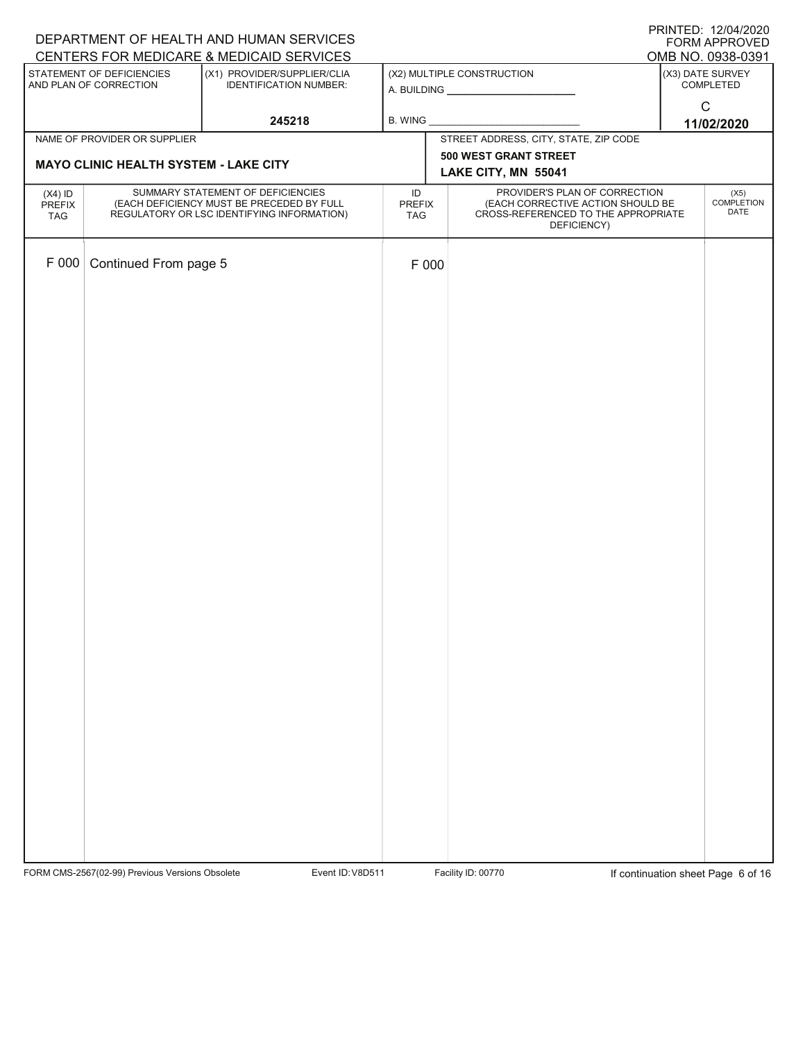| DEPARTMENT OF HEALTH AND HUMAN SERVICES | <b>PRINTED: 12/04/2020</b><br>FORM APPROVED                                    |                                                                         |                     |                                                                    |                                       |
|-----------------------------------------|--------------------------------------------------------------------------------|-------------------------------------------------------------------------|---------------------|--------------------------------------------------------------------|---------------------------------------|
|                                         | STATEMENT OF DEFICIENCIES                                                      | CENTERS FOR MEDICARE & MEDICAID SERVICES<br>(X1) PROVIDER/SUPPLIER/CLIA |                     | (X2) MULTIPLE CONSTRUCTION                                         | OMB NO. 0938-0391<br>(X3) DATE SURVEY |
|                                         | AND PLAN OF CORRECTION                                                         | <b>IDENTIFICATION NUMBER:</b>                                           |                     |                                                                    | COMPLETED                             |
|                                         |                                                                                | 245218                                                                  | B. WING             |                                                                    | $\mathsf C$                           |
|                                         | NAME OF PROVIDER OR SUPPLIER                                                   |                                                                         |                     | STREET ADDRESS, CITY, STATE, ZIP CODE                              | 11/02/2020                            |
|                                         | <b>MAYO CLINIC HEALTH SYSTEM - LAKE CITY</b>                                   |                                                                         |                     | 500 WEST GRANT STREET                                              |                                       |
|                                         |                                                                                |                                                                         |                     | LAKE CITY, MN 55041                                                |                                       |
| $(X4)$ ID<br>PREFIX                     | SUMMARY STATEMENT OF DEFICIENCIES<br>(EACH DEFICIENCY MUST BE PRECEDED BY FULL |                                                                         | ID<br><b>PREFIX</b> | PROVIDER'S PLAN OF CORRECTION<br>(EACH CORRECTIVE ACTION SHOULD BE | (X5)<br><b>COMPLETION</b>             |
| TAG                                     |                                                                                | REGULATORY OR LSC IDENTIFYING INFORMATION)                              | TAG                 | CROSS-REFERENCED TO THE APPROPRIATE<br>DEFICIENCY)                 | DATE                                  |
|                                         |                                                                                |                                                                         |                     |                                                                    |                                       |
| F 000                                   | Continued From page 5                                                          |                                                                         | F 000               |                                                                    |                                       |
|                                         |                                                                                |                                                                         |                     |                                                                    |                                       |
|                                         |                                                                                |                                                                         |                     |                                                                    |                                       |
|                                         |                                                                                |                                                                         |                     |                                                                    |                                       |
|                                         |                                                                                |                                                                         |                     |                                                                    |                                       |
|                                         |                                                                                |                                                                         |                     |                                                                    |                                       |
|                                         |                                                                                |                                                                         |                     |                                                                    |                                       |
|                                         |                                                                                |                                                                         |                     |                                                                    |                                       |
|                                         |                                                                                |                                                                         |                     |                                                                    |                                       |
|                                         |                                                                                |                                                                         |                     |                                                                    |                                       |
|                                         |                                                                                |                                                                         |                     |                                                                    |                                       |
|                                         |                                                                                |                                                                         |                     |                                                                    |                                       |
|                                         |                                                                                |                                                                         |                     |                                                                    |                                       |
|                                         |                                                                                |                                                                         |                     |                                                                    |                                       |
|                                         |                                                                                |                                                                         |                     |                                                                    |                                       |
|                                         |                                                                                |                                                                         |                     |                                                                    |                                       |
|                                         |                                                                                |                                                                         |                     |                                                                    |                                       |
|                                         |                                                                                |                                                                         |                     |                                                                    |                                       |
|                                         |                                                                                |                                                                         |                     |                                                                    |                                       |
|                                         |                                                                                |                                                                         |                     |                                                                    |                                       |
|                                         |                                                                                |                                                                         |                     |                                                                    |                                       |
|                                         |                                                                                |                                                                         |                     |                                                                    |                                       |
|                                         |                                                                                |                                                                         |                     |                                                                    |                                       |
|                                         |                                                                                |                                                                         |                     |                                                                    |                                       |
|                                         |                                                                                |                                                                         |                     |                                                                    |                                       |
|                                         |                                                                                |                                                                         |                     |                                                                    |                                       |
|                                         |                                                                                |                                                                         |                     |                                                                    |                                       |
|                                         |                                                                                |                                                                         |                     |                                                                    |                                       |
|                                         |                                                                                |                                                                         |                     |                                                                    |                                       |

FORM CMS-2567(02-99) Previous Versions Obsolete Variation School Event ID: V8D511 Facility ID: 00770 If continuation sheet Page 6 of 16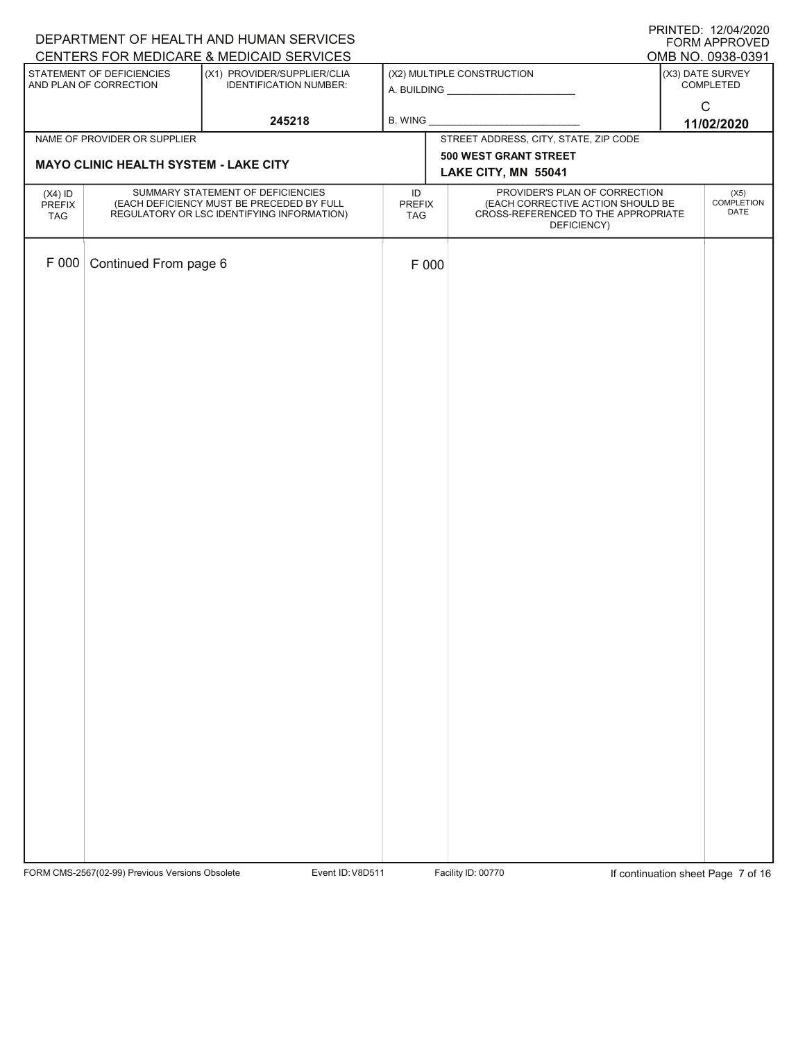| DEPARTMENT OF HEALTH AND HUMAN SERVICES | <b>PRINTED: 12/04/2020</b><br>FORM APPROVED                                    |                                                                         |                     |                                                                    |                                       |
|-----------------------------------------|--------------------------------------------------------------------------------|-------------------------------------------------------------------------|---------------------|--------------------------------------------------------------------|---------------------------------------|
|                                         | STATEMENT OF DEFICIENCIES                                                      | CENTERS FOR MEDICARE & MEDICAID SERVICES<br>(X1) PROVIDER/SUPPLIER/CLIA |                     | (X2) MULTIPLE CONSTRUCTION                                         | OMB NO. 0938-0391<br>(X3) DATE SURVEY |
|                                         | AND PLAN OF CORRECTION                                                         | <b>IDENTIFICATION NUMBER:</b>                                           |                     |                                                                    | COMPLETED                             |
|                                         |                                                                                | 245218                                                                  | B. WING             |                                                                    | $\mathsf C$<br>11/02/2020             |
|                                         | NAME OF PROVIDER OR SUPPLIER                                                   |                                                                         |                     | STREET ADDRESS, CITY, STATE, ZIP CODE                              |                                       |
|                                         | <b>MAYO CLINIC HEALTH SYSTEM - LAKE CITY</b>                                   |                                                                         |                     | 500 WEST GRANT STREET                                              |                                       |
|                                         |                                                                                |                                                                         |                     | LAKE CITY, MN 55041                                                |                                       |
| $(X4)$ ID<br>PREFIX                     | SUMMARY STATEMENT OF DEFICIENCIES<br>(EACH DEFICIENCY MUST BE PRECEDED BY FULL |                                                                         | ID<br><b>PREFIX</b> | PROVIDER'S PLAN OF CORRECTION<br>(EACH CORRECTIVE ACTION SHOULD BE | (X5)<br><b>COMPLETION</b><br>DATE     |
| TAG                                     |                                                                                | REGULATORY OR LSC IDENTIFYING INFORMATION)                              | TAG                 | CROSS-REFERENCED TO THE APPROPRIATE<br>DEFICIENCY)                 |                                       |
|                                         |                                                                                |                                                                         |                     |                                                                    |                                       |
| F 000                                   | Continued From page 6                                                          |                                                                         | F 000               |                                                                    |                                       |
|                                         |                                                                                |                                                                         |                     |                                                                    |                                       |
|                                         |                                                                                |                                                                         |                     |                                                                    |                                       |
|                                         |                                                                                |                                                                         |                     |                                                                    |                                       |
|                                         |                                                                                |                                                                         |                     |                                                                    |                                       |
|                                         |                                                                                |                                                                         |                     |                                                                    |                                       |
|                                         |                                                                                |                                                                         |                     |                                                                    |                                       |
|                                         |                                                                                |                                                                         |                     |                                                                    |                                       |
|                                         |                                                                                |                                                                         |                     |                                                                    |                                       |
|                                         |                                                                                |                                                                         |                     |                                                                    |                                       |
|                                         |                                                                                |                                                                         |                     |                                                                    |                                       |
|                                         |                                                                                |                                                                         |                     |                                                                    |                                       |
|                                         |                                                                                |                                                                         |                     |                                                                    |                                       |
|                                         |                                                                                |                                                                         |                     |                                                                    |                                       |
|                                         |                                                                                |                                                                         |                     |                                                                    |                                       |
|                                         |                                                                                |                                                                         |                     |                                                                    |                                       |
|                                         |                                                                                |                                                                         |                     |                                                                    |                                       |
|                                         |                                                                                |                                                                         |                     |                                                                    |                                       |
|                                         |                                                                                |                                                                         |                     |                                                                    |                                       |
|                                         |                                                                                |                                                                         |                     |                                                                    |                                       |
|                                         |                                                                                |                                                                         |                     |                                                                    |                                       |
|                                         |                                                                                |                                                                         |                     |                                                                    |                                       |
|                                         |                                                                                |                                                                         |                     |                                                                    |                                       |
|                                         |                                                                                |                                                                         |                     |                                                                    |                                       |
|                                         |                                                                                |                                                                         |                     |                                                                    |                                       |
|                                         |                                                                                |                                                                         |                     |                                                                    |                                       |
|                                         |                                                                                |                                                                         |                     |                                                                    |                                       |
|                                         |                                                                                |                                                                         |                     |                                                                    |                                       |

FORM CMS-2567(02-99) Previous Versions Obsolete Variation School Event ID: V8D511 Facility ID: 00770 If continuation sheet Page 7 of 16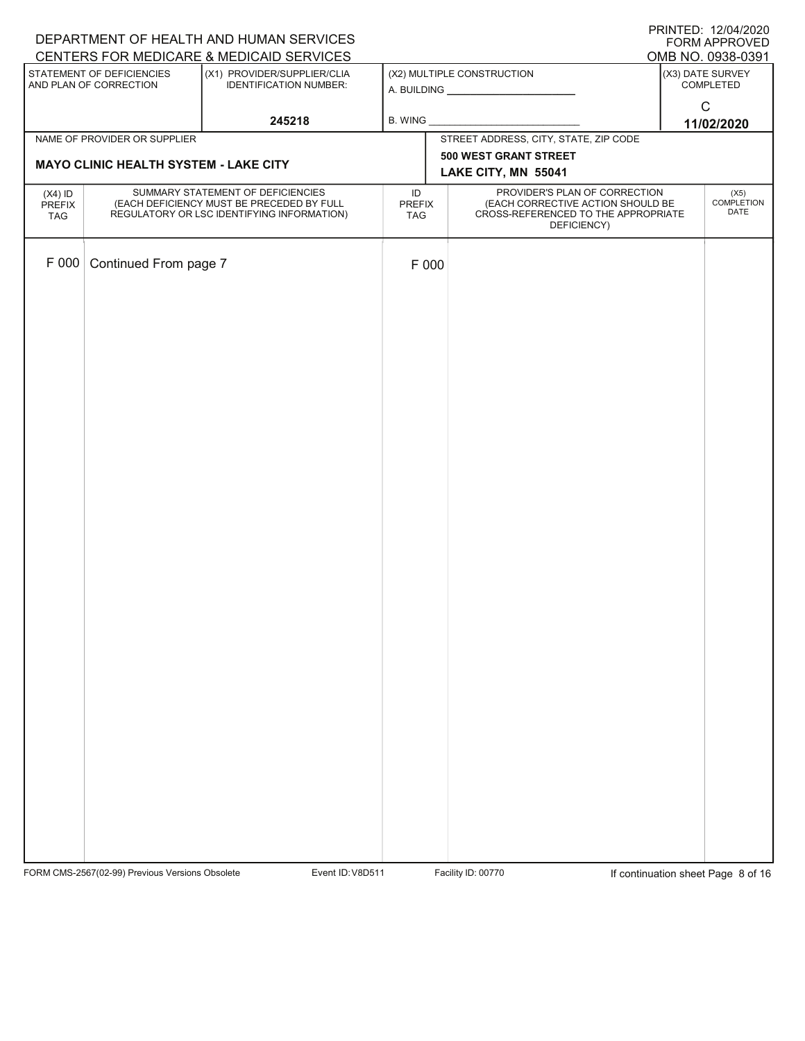| DEPARTMENT OF HEALTH AND HUMAN SERVICES | <b>PRINTED: 12/04/2020</b><br>FORM APPROVED                                    |                                                                         |                     |                                                                    |                                       |
|-----------------------------------------|--------------------------------------------------------------------------------|-------------------------------------------------------------------------|---------------------|--------------------------------------------------------------------|---------------------------------------|
|                                         | STATEMENT OF DEFICIENCIES                                                      | CENTERS FOR MEDICARE & MEDICAID SERVICES<br>(X1) PROVIDER/SUPPLIER/CLIA |                     | (X2) MULTIPLE CONSTRUCTION                                         | OMB NO. 0938-0391<br>(X3) DATE SURVEY |
|                                         | AND PLAN OF CORRECTION                                                         | <b>IDENTIFICATION NUMBER:</b>                                           |                     |                                                                    | COMPLETED                             |
|                                         |                                                                                | 245218                                                                  | B. WING             |                                                                    | $\mathsf C$                           |
|                                         | NAME OF PROVIDER OR SUPPLIER                                                   |                                                                         |                     | STREET ADDRESS, CITY, STATE, ZIP CODE                              | 11/02/2020                            |
|                                         | <b>MAYO CLINIC HEALTH SYSTEM - LAKE CITY</b>                                   |                                                                         |                     | 500 WEST GRANT STREET                                              |                                       |
|                                         |                                                                                |                                                                         |                     | LAKE CITY, MN 55041                                                |                                       |
| $(X4)$ ID<br>PREFIX                     | SUMMARY STATEMENT OF DEFICIENCIES<br>(EACH DEFICIENCY MUST BE PRECEDED BY FULL |                                                                         | ID<br><b>PREFIX</b> | PROVIDER'S PLAN OF CORRECTION<br>(EACH CORRECTIVE ACTION SHOULD BE | (X5)<br><b>COMPLETION</b>             |
| TAG                                     |                                                                                | REGULATORY OR LSC IDENTIFYING INFORMATION)                              | TAG                 | CROSS-REFERENCED TO THE APPROPRIATE<br>DEFICIENCY)                 | DATE                                  |
|                                         |                                                                                |                                                                         |                     |                                                                    |                                       |
| F 000                                   | Continued From page 7                                                          |                                                                         | F 000               |                                                                    |                                       |
|                                         |                                                                                |                                                                         |                     |                                                                    |                                       |
|                                         |                                                                                |                                                                         |                     |                                                                    |                                       |
|                                         |                                                                                |                                                                         |                     |                                                                    |                                       |
|                                         |                                                                                |                                                                         |                     |                                                                    |                                       |
|                                         |                                                                                |                                                                         |                     |                                                                    |                                       |
|                                         |                                                                                |                                                                         |                     |                                                                    |                                       |
|                                         |                                                                                |                                                                         |                     |                                                                    |                                       |
|                                         |                                                                                |                                                                         |                     |                                                                    |                                       |
|                                         |                                                                                |                                                                         |                     |                                                                    |                                       |
|                                         |                                                                                |                                                                         |                     |                                                                    |                                       |
|                                         |                                                                                |                                                                         |                     |                                                                    |                                       |
|                                         |                                                                                |                                                                         |                     |                                                                    |                                       |
|                                         |                                                                                |                                                                         |                     |                                                                    |                                       |
|                                         |                                                                                |                                                                         |                     |                                                                    |                                       |
|                                         |                                                                                |                                                                         |                     |                                                                    |                                       |
|                                         |                                                                                |                                                                         |                     |                                                                    |                                       |
|                                         |                                                                                |                                                                         |                     |                                                                    |                                       |
|                                         |                                                                                |                                                                         |                     |                                                                    |                                       |
|                                         |                                                                                |                                                                         |                     |                                                                    |                                       |
|                                         |                                                                                |                                                                         |                     |                                                                    |                                       |
|                                         |                                                                                |                                                                         |                     |                                                                    |                                       |
|                                         |                                                                                |                                                                         |                     |                                                                    |                                       |
|                                         |                                                                                |                                                                         |                     |                                                                    |                                       |
|                                         |                                                                                |                                                                         |                     |                                                                    |                                       |
|                                         |                                                                                |                                                                         |                     |                                                                    |                                       |
|                                         |                                                                                |                                                                         |                     |                                                                    |                                       |
|                                         |                                                                                |                                                                         |                     |                                                                    |                                       |
|                                         |                                                                                |                                                                         |                     |                                                                    |                                       |

FORM CMS-2567(02-99) Previous Versions Obsolete Variation School Event ID: V8D511 Facility ID: 00770 If continuation sheet Page 8 of 16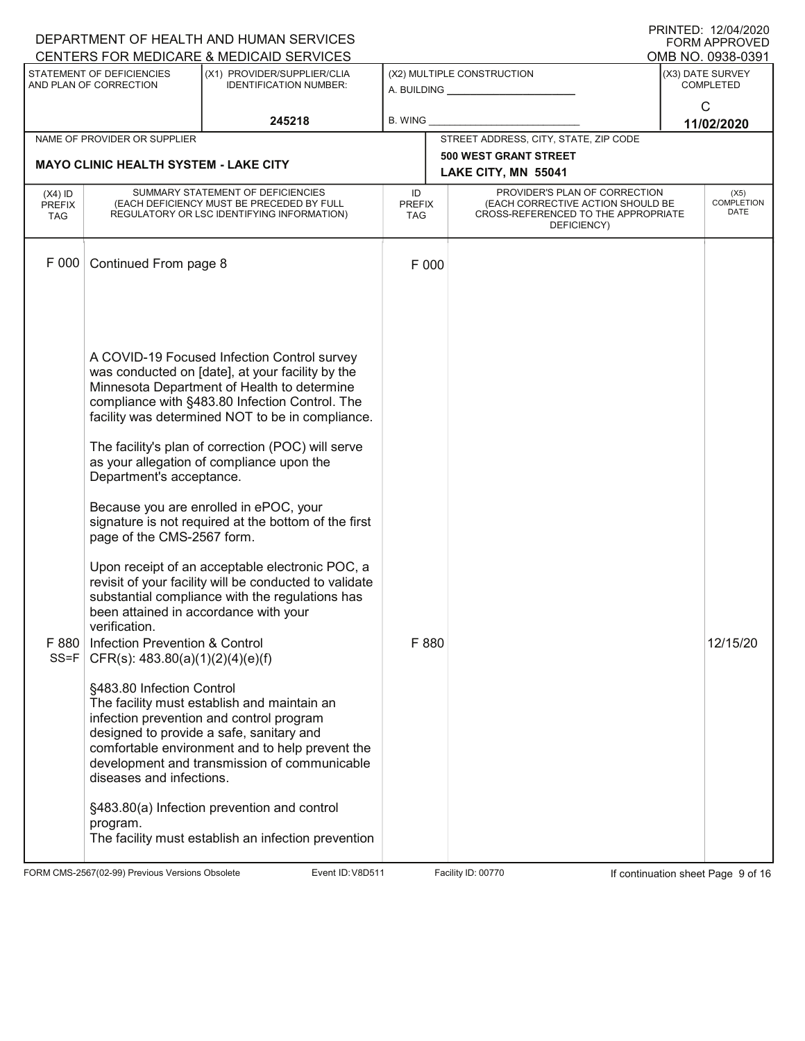| DEPARTMENT OF HEALTH AND HUMAN SERVICES |                                                        |                                                                                                                                                              | <b>PRINTED: 12/04/2020</b><br><b>FORM APPROVED</b><br>OMB NO. 0938-0391 |  |                                                                    |                  |                                  |
|-----------------------------------------|--------------------------------------------------------|--------------------------------------------------------------------------------------------------------------------------------------------------------------|-------------------------------------------------------------------------|--|--------------------------------------------------------------------|------------------|----------------------------------|
|                                         | STATEMENT OF DEFICIENCIES                              | CENTERS FOR MEDICARE & MEDICAID SERVICES<br>(X1) PROVIDER/SUPPLIER/CLIA                                                                                      |                                                                         |  | (X2) MULTIPLE CONSTRUCTION                                         | (X3) DATE SURVEY |                                  |
|                                         | AND PLAN OF CORRECTION                                 | <b>IDENTIFICATION NUMBER:</b>                                                                                                                                |                                                                         |  | A. BUILDING <u>__________________</u>                              |                  | <b>COMPLETED</b><br>$\mathsf{C}$ |
|                                         |                                                        | 245218                                                                                                                                                       | <b>B. WING</b>                                                          |  |                                                                    |                  | 11/02/2020                       |
|                                         | NAME OF PROVIDER OR SUPPLIER                           |                                                                                                                                                              |                                                                         |  | STREET ADDRESS, CITY, STATE, ZIP CODE                              |                  |                                  |
|                                         | <b>MAYO CLINIC HEALTH SYSTEM - LAKE CITY</b>           |                                                                                                                                                              |                                                                         |  | <b>500 WEST GRANT STREET</b><br>LAKE CITY, MN 55041                |                  |                                  |
| $(X4)$ ID<br><b>PREFIX</b>              |                                                        | SUMMARY STATEMENT OF DEFICIENCIES<br>(EACH DEFICIENCY MUST BE PRECEDED BY FULL                                                                               | ID<br><b>PREFIX</b>                                                     |  | PROVIDER'S PLAN OF CORRECTION<br>(EACH CORRECTIVE ACTION SHOULD BE |                  | (X5)<br><b>COMPLETION</b>        |
| <b>TAG</b>                              | REGULATORY OR LSC IDENTIFYING INFORMATION)             |                                                                                                                                                              | TAG                                                                     |  | CROSS-REFERENCED TO THE APPROPRIATE<br>DEFICIENCY)                 |                  | DATE                             |
| F 000                                   | Continued From page 8                                  |                                                                                                                                                              | F 000                                                                   |  |                                                                    |                  |                                  |
|                                         |                                                        |                                                                                                                                                              |                                                                         |  |                                                                    |                  |                                  |
|                                         |                                                        |                                                                                                                                                              |                                                                         |  |                                                                    |                  |                                  |
|                                         |                                                        |                                                                                                                                                              |                                                                         |  |                                                                    |                  |                                  |
|                                         |                                                        | A COVID-19 Focused Infection Control survey                                                                                                                  |                                                                         |  |                                                                    |                  |                                  |
|                                         |                                                        | was conducted on [date], at your facility by the                                                                                                             |                                                                         |  |                                                                    |                  |                                  |
|                                         |                                                        | Minnesota Department of Health to determine<br>compliance with §483.80 Infection Control. The                                                                |                                                                         |  |                                                                    |                  |                                  |
|                                         |                                                        | facility was determined NOT to be in compliance.                                                                                                             |                                                                         |  |                                                                    |                  |                                  |
|                                         |                                                        | The facility's plan of correction (POC) will serve                                                                                                           |                                                                         |  |                                                                    |                  |                                  |
|                                         | Department's acceptance.                               | as your allegation of compliance upon the                                                                                                                    |                                                                         |  |                                                                    |                  |                                  |
|                                         | page of the CMS-2567 form.                             | Because you are enrolled in ePOC, your<br>signature is not required at the bottom of the first                                                               |                                                                         |  |                                                                    |                  |                                  |
|                                         |                                                        | Upon receipt of an acceptable electronic POC, a<br>revisit of your facility will be conducted to validate<br>substantial compliance with the regulations has |                                                                         |  |                                                                    |                  |                                  |
|                                         | been attained in accordance with your<br>verification. |                                                                                                                                                              |                                                                         |  |                                                                    |                  |                                  |
| F 880                                   | Infection Prevention & Control                         |                                                                                                                                                              | F 880                                                                   |  |                                                                    |                  | 12/15/20                         |
| $SS = F$                                | CFR(s): $483.80(a)(1)(2)(4)(e)(f)$                     |                                                                                                                                                              |                                                                         |  |                                                                    |                  |                                  |
|                                         | §483.80 Infection Control                              |                                                                                                                                                              |                                                                         |  |                                                                    |                  |                                  |
|                                         |                                                        | The facility must establish and maintain an<br>infection prevention and control program                                                                      |                                                                         |  |                                                                    |                  |                                  |
|                                         |                                                        | designed to provide a safe, sanitary and<br>comfortable environment and to help prevent the                                                                  |                                                                         |  |                                                                    |                  |                                  |
|                                         | diseases and infections.                               | development and transmission of communicable                                                                                                                 |                                                                         |  |                                                                    |                  |                                  |
|                                         |                                                        | §483.80(a) Infection prevention and control                                                                                                                  |                                                                         |  |                                                                    |                  |                                  |
|                                         | program.                                               | The facility must establish an infection prevention                                                                                                          |                                                                         |  |                                                                    |                  |                                  |
|                                         |                                                        |                                                                                                                                                              |                                                                         |  |                                                                    |                  |                                  |

FORM CMS-2567(02-99) Previous Versions Obsolete Variation School Event ID: V8D511 Facility ID: 00770 If continuation sheet Page 9 of 16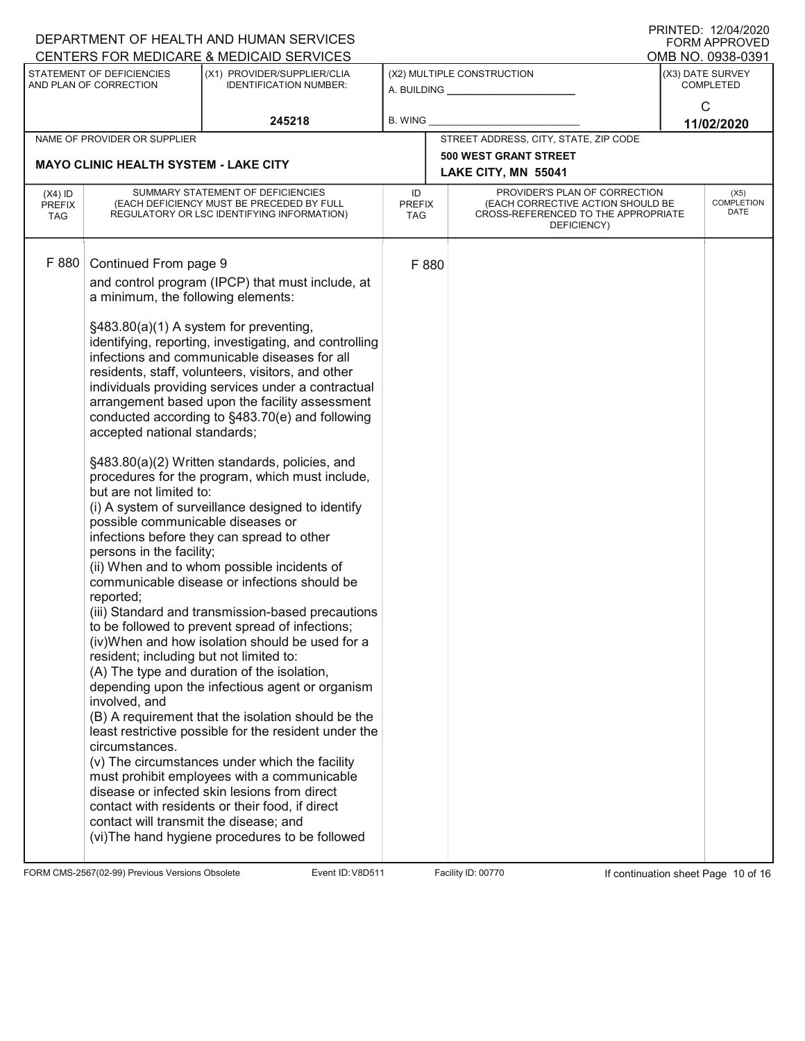|                                              |                                                                                                                                                                                                                                                                                           | DEPARTMENT OF HEALTH AND HUMAN SERVICES<br>CENTERS FOR MEDICARE & MEDICAID SERVICES                                                                                                                                                                                                                                                                                                                                                                                                                                                                                                                                                                                                                                                                                                                                                                                                         |                                   |                                                                                                                          |                                      | $1$ INTITLU. IZIVTIZVZV<br><b>FORM APPROVED</b><br>OMB NO. 0938-0391 |
|----------------------------------------------|-------------------------------------------------------------------------------------------------------------------------------------------------------------------------------------------------------------------------------------------------------------------------------------------|---------------------------------------------------------------------------------------------------------------------------------------------------------------------------------------------------------------------------------------------------------------------------------------------------------------------------------------------------------------------------------------------------------------------------------------------------------------------------------------------------------------------------------------------------------------------------------------------------------------------------------------------------------------------------------------------------------------------------------------------------------------------------------------------------------------------------------------------------------------------------------------------|-----------------------------------|--------------------------------------------------------------------------------------------------------------------------|--------------------------------------|----------------------------------------------------------------------|
|                                              | STATEMENT OF DEFICIENCIES<br>AND PLAN OF CORRECTION                                                                                                                                                                                                                                       | (X1) PROVIDER/SUPPLIER/CLIA<br><b>IDENTIFICATION NUMBER:</b>                                                                                                                                                                                                                                                                                                                                                                                                                                                                                                                                                                                                                                                                                                                                                                                                                                |                                   | (X2) MULTIPLE CONSTRUCTION<br>A. BUILDING A.                                                                             | (X3) DATE SURVEY<br><b>COMPLETED</b> |                                                                      |
|                                              |                                                                                                                                                                                                                                                                                           | 245218                                                                                                                                                                                                                                                                                                                                                                                                                                                                                                                                                                                                                                                                                                                                                                                                                                                                                      | <b>B. WING</b>                    |                                                                                                                          |                                      | C<br>11/02/2020                                                      |
|                                              | NAME OF PROVIDER OR SUPPLIER                                                                                                                                                                                                                                                              |                                                                                                                                                                                                                                                                                                                                                                                                                                                                                                                                                                                                                                                                                                                                                                                                                                                                                             |                                   | STREET ADDRESS, CITY, STATE, ZIP CODE                                                                                    |                                      |                                                                      |
| <b>MAYO CLINIC HEALTH SYSTEM - LAKE CITY</b> |                                                                                                                                                                                                                                                                                           |                                                                                                                                                                                                                                                                                                                                                                                                                                                                                                                                                                                                                                                                                                                                                                                                                                                                                             |                                   | <b>500 WEST GRANT STREET</b><br>LAKE CITY, MN 55041                                                                      |                                      |                                                                      |
| $(X4)$ ID<br><b>PREFIX</b><br><b>TAG</b>     |                                                                                                                                                                                                                                                                                           | SUMMARY STATEMENT OF DEFICIENCIES<br>(EACH DEFICIENCY MUST BE PRECEDED BY FULL<br>REGULATORY OR LSC IDENTIFYING INFORMATION)                                                                                                                                                                                                                                                                                                                                                                                                                                                                                                                                                                                                                                                                                                                                                                | ID<br><b>PREFIX</b><br><b>TAG</b> | PROVIDER'S PLAN OF CORRECTION<br>(EACH CORRECTIVE ACTION SHOULD BE<br>CROSS-REFERENCED TO THE APPROPRIATE<br>DEFICIENCY) |                                      | (X5)<br><b>COMPLETION</b><br>DATE                                    |
| F 880                                        | Continued From page 9<br>a minimum, the following elements:<br>§483.80(a)(1) A system for preventing,<br>accepted national standards;<br>but are not limited to:<br>possible communicable diseases or<br>persons in the facility;<br>reported;<br>resident; including but not limited to: | and control program (IPCP) that must include, at<br>identifying, reporting, investigating, and controlling<br>infections and communicable diseases for all<br>residents, staff, volunteers, visitors, and other<br>individuals providing services under a contractual<br>arrangement based upon the facility assessment<br>conducted according to §483.70(e) and following<br>§483.80(a)(2) Written standards, policies, and<br>procedures for the program, which must include,<br>(i) A system of surveillance designed to identify<br>infections before they can spread to other<br>(ii) When and to whom possible incidents of<br>communicable disease or infections should be<br>(iii) Standard and transmission-based precautions<br>to be followed to prevent spread of infections;<br>(iv)When and how isolation should be used for a<br>(A) The type and duration of the isolation, | F 880                             |                                                                                                                          |                                      |                                                                      |
|                                              | involved, and<br>circumstances.<br>contact will transmit the disease; and                                                                                                                                                                                                                 | depending upon the infectious agent or organism<br>(B) A requirement that the isolation should be the<br>least restrictive possible for the resident under the<br>(v) The circumstances under which the facility<br>must prohibit employees with a communicable<br>disease or infected skin lesions from direct<br>contact with residents or their food, if direct<br>(vi) The hand hygiene procedures to be followed                                                                                                                                                                                                                                                                                                                                                                                                                                                                       |                                   |                                                                                                                          |                                      |                                                                      |

FORM CMS-2567(02-99) Previous Versions Obsolete Variation Sheet Page 10 of 16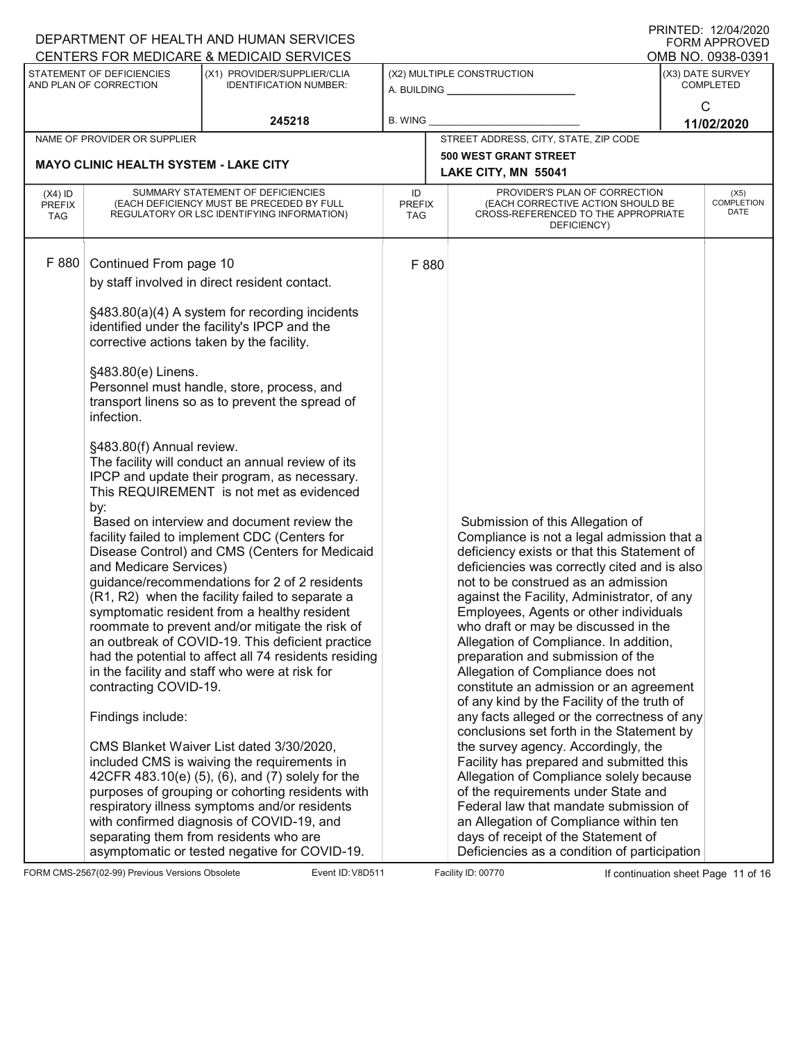|                                   | DEPARTMENT OF HEALTH AND HUMAN SERVICES                                                                                                                                                                             |                                                                                                                                                                                                                                                                                                                                                                                                                                                                                                                                                                                                                                                                                                                                                                                                                                                                                                                                                                                                                                                                                                                                                                                                                                                                     |                            | I ININTED. IZIVHIZUZU<br><b>FORM APPROVED</b>                                                                                                                                                                                                                                                                                                                                                                                                                                                                                                                                                                                                                                                                                                                                                                                                                                                                                                                   |                                      |                   |
|-----------------------------------|---------------------------------------------------------------------------------------------------------------------------------------------------------------------------------------------------------------------|---------------------------------------------------------------------------------------------------------------------------------------------------------------------------------------------------------------------------------------------------------------------------------------------------------------------------------------------------------------------------------------------------------------------------------------------------------------------------------------------------------------------------------------------------------------------------------------------------------------------------------------------------------------------------------------------------------------------------------------------------------------------------------------------------------------------------------------------------------------------------------------------------------------------------------------------------------------------------------------------------------------------------------------------------------------------------------------------------------------------------------------------------------------------------------------------------------------------------------------------------------------------|----------------------------|-----------------------------------------------------------------------------------------------------------------------------------------------------------------------------------------------------------------------------------------------------------------------------------------------------------------------------------------------------------------------------------------------------------------------------------------------------------------------------------------------------------------------------------------------------------------------------------------------------------------------------------------------------------------------------------------------------------------------------------------------------------------------------------------------------------------------------------------------------------------------------------------------------------------------------------------------------------------|--------------------------------------|-------------------|
|                                   |                                                                                                                                                                                                                     | CENTERS FOR MEDICARE & MEDICAID SERVICES                                                                                                                                                                                                                                                                                                                                                                                                                                                                                                                                                                                                                                                                                                                                                                                                                                                                                                                                                                                                                                                                                                                                                                                                                            |                            |                                                                                                                                                                                                                                                                                                                                                                                                                                                                                                                                                                                                                                                                                                                                                                                                                                                                                                                                                                 |                                      | OMB NO. 0938-0391 |
|                                   | STATEMENT OF DEFICIENCIES<br>AND PLAN OF CORRECTION                                                                                                                                                                 | (X1) PROVIDER/SUPPLIER/CLIA<br><b>IDENTIFICATION NUMBER:</b>                                                                                                                                                                                                                                                                                                                                                                                                                                                                                                                                                                                                                                                                                                                                                                                                                                                                                                                                                                                                                                                                                                                                                                                                        |                            | (X2) MULTIPLE CONSTRUCTION<br>A. BUILDING                                                                                                                                                                                                                                                                                                                                                                                                                                                                                                                                                                                                                                                                                                                                                                                                                                                                                                                       | (X3) DATE SURVEY<br><b>COMPLETED</b> |                   |
|                                   |                                                                                                                                                                                                                     | 245218                                                                                                                                                                                                                                                                                                                                                                                                                                                                                                                                                                                                                                                                                                                                                                                                                                                                                                                                                                                                                                                                                                                                                                                                                                                              | <b>B. WING</b>             |                                                                                                                                                                                                                                                                                                                                                                                                                                                                                                                                                                                                                                                                                                                                                                                                                                                                                                                                                                 |                                      | C<br>11/02/2020   |
|                                   | NAME OF PROVIDER OR SUPPLIER                                                                                                                                                                                        |                                                                                                                                                                                                                                                                                                                                                                                                                                                                                                                                                                                                                                                                                                                                                                                                                                                                                                                                                                                                                                                                                                                                                                                                                                                                     |                            | STREET ADDRESS, CITY, STATE, ZIP CODE                                                                                                                                                                                                                                                                                                                                                                                                                                                                                                                                                                                                                                                                                                                                                                                                                                                                                                                           |                                      |                   |
|                                   |                                                                                                                                                                                                                     |                                                                                                                                                                                                                                                                                                                                                                                                                                                                                                                                                                                                                                                                                                                                                                                                                                                                                                                                                                                                                                                                                                                                                                                                                                                                     |                            | <b>500 WEST GRANT STREET</b>                                                                                                                                                                                                                                                                                                                                                                                                                                                                                                                                                                                                                                                                                                                                                                                                                                                                                                                                    |                                      |                   |
|                                   | <b>MAYO CLINIC HEALTH SYSTEM - LAKE CITY</b>                                                                                                                                                                        |                                                                                                                                                                                                                                                                                                                                                                                                                                                                                                                                                                                                                                                                                                                                                                                                                                                                                                                                                                                                                                                                                                                                                                                                                                                                     |                            | LAKE CITY, MN 55041                                                                                                                                                                                                                                                                                                                                                                                                                                                                                                                                                                                                                                                                                                                                                                                                                                                                                                                                             |                                      |                   |
| $(X4)$ ID<br><b>PREFIX</b><br>TAG | SUMMARY STATEMENT OF DEFICIENCIES<br>(EACH DEFICIENCY MUST BE PRECEDED BY FULL<br>REGULATORY OR LSC IDENTIFYING INFORMATION)                                                                                        |                                                                                                                                                                                                                                                                                                                                                                                                                                                                                                                                                                                                                                                                                                                                                                                                                                                                                                                                                                                                                                                                                                                                                                                                                                                                     | ID<br><b>PREFIX</b><br>TAG | PROVIDER'S PLAN OF CORRECTION<br>(EACH CORRECTIVE ACTION SHOULD BE<br>CROSS-REFERENCED TO THE APPROPRIATE<br>DEFICIENCY)                                                                                                                                                                                                                                                                                                                                                                                                                                                                                                                                                                                                                                                                                                                                                                                                                                        | <b>COMPLETION</b>                    |                   |
| F 880                             | Continued From page 10<br>corrective actions taken by the facility.<br>§483.80(e) Linens.<br>infection.<br>§483.80(f) Annual review.<br>by:<br>and Medicare Services)<br>contracting COVID-19.<br>Findings include: | by staff involved in direct resident contact.<br>§483.80(a)(4) A system for recording incidents<br>identified under the facility's IPCP and the<br>Personnel must handle, store, process, and<br>transport linens so as to prevent the spread of<br>The facility will conduct an annual review of its<br>IPCP and update their program, as necessary.<br>This REQUIREMENT is not met as evidenced<br>Based on interview and document review the<br>facility failed to implement CDC (Centers for<br>Disease Control) and CMS (Centers for Medicaid<br>guidance/recommendations for 2 of 2 residents<br>(R1, R2) when the facility failed to separate a<br>symptomatic resident from a healthy resident<br>roommate to prevent and/or mitigate the risk of<br>an outbreak of COVID-19. This deficient practice<br>had the potential to affect all 74 residents residing<br>in the facility and staff who were at risk for<br>CMS Blanket Waiver List dated 3/30/2020.<br>included CMS is waiving the requirements in<br>42CFR 483.10(e) (5), (6), and (7) solely for the<br>purposes of grouping or cohorting residents with<br>respiratory illness symptoms and/or residents<br>with confirmed diagnosis of COVID-19, and<br>separating them from residents who are | F 880                      | Submission of this Allegation of<br>Compliance is not a legal admission that a<br>deficiency exists or that this Statement of<br>deficiencies was correctly cited and is also<br>not to be construed as an admission<br>against the Facility, Administrator, of any<br>Employees, Agents or other individuals<br>who draft or may be discussed in the<br>Allegation of Compliance. In addition,<br>preparation and submission of the<br>Allegation of Compliance does not<br>constitute an admission or an agreement<br>of any kind by the Facility of the truth of<br>any facts alleged or the correctness of any<br>conclusions set forth in the Statement by<br>the survey agency. Accordingly, the<br>Facility has prepared and submitted this<br>Allegation of Compliance solely because<br>of the requirements under State and<br>Federal law that mandate submission of<br>an Allegation of Compliance within ten<br>days of receipt of the Statement of |                                      |                   |
|                                   |                                                                                                                                                                                                                     | asymptomatic or tested negative for COVID-19.                                                                                                                                                                                                                                                                                                                                                                                                                                                                                                                                                                                                                                                                                                                                                                                                                                                                                                                                                                                                                                                                                                                                                                                                                       |                            | Deficiencies as a condition of participation                                                                                                                                                                                                                                                                                                                                                                                                                                                                                                                                                                                                                                                                                                                                                                                                                                                                                                                    |                                      |                   |

FORM CMS-2567(02-99) Previous Versions Obsolete Variation School Event ID: V8D511 Facility ID: 00770 If continuation sheet Page 11 of 16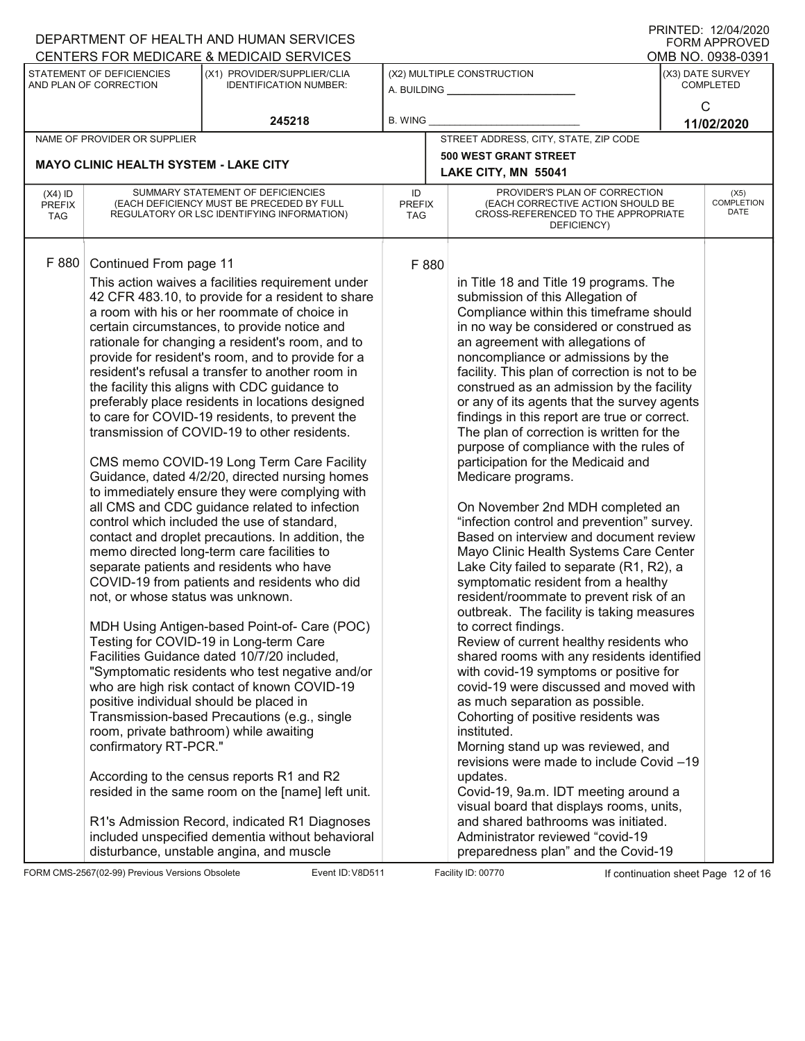| I ININTED. IZIV <del>I</del> IZVZV<br>DEPARTMENT OF HEALTH AND HUMAN SERVICES<br><b>FORM APPROVED</b>               |                                                                                                                              |                                                                                                       |                                                                                             |                                                                                                                                                  |                                      |                                   |  |  |  |
|---------------------------------------------------------------------------------------------------------------------|------------------------------------------------------------------------------------------------------------------------------|-------------------------------------------------------------------------------------------------------|---------------------------------------------------------------------------------------------|--------------------------------------------------------------------------------------------------------------------------------------------------|--------------------------------------|-----------------------------------|--|--|--|
| CENTERS FOR MEDICARE & MEDICAID SERVICES                                                                            |                                                                                                                              |                                                                                                       |                                                                                             | OMB NO. 0938-0391                                                                                                                                |                                      |                                   |  |  |  |
| STATEMENT OF DEFICIENCIES<br>(X1) PROVIDER/SUPPLIER/CLIA<br>AND PLAN OF CORRECTION<br><b>IDENTIFICATION NUMBER:</b> |                                                                                                                              |                                                                                                       | (X2) MULTIPLE CONSTRUCTION<br>A. BUILDING                                                   |                                                                                                                                                  | (X3) DATE SURVEY<br><b>COMPLETED</b> |                                   |  |  |  |
|                                                                                                                     |                                                                                                                              | 245218                                                                                                | B. WING                                                                                     |                                                                                                                                                  | C<br>11/02/2020                      |                                   |  |  |  |
|                                                                                                                     | NAME OF PROVIDER OR SUPPLIER                                                                                                 |                                                                                                       |                                                                                             | STREET ADDRESS, CITY, STATE, ZIP CODE                                                                                                            |                                      |                                   |  |  |  |
|                                                                                                                     |                                                                                                                              |                                                                                                       |                                                                                             | <b>500 WEST GRANT STREET</b>                                                                                                                     |                                      |                                   |  |  |  |
|                                                                                                                     | <b>MAYO CLINIC HEALTH SYSTEM - LAKE CITY</b>                                                                                 |                                                                                                       |                                                                                             | LAKE CITY, MN 55041                                                                                                                              |                                      |                                   |  |  |  |
| $(X4)$ ID<br><b>PREFIX</b><br><b>TAG</b>                                                                            | SUMMARY STATEMENT OF DEFICIENCIES<br>(EACH DEFICIENCY MUST BE PRECEDED BY FULL<br>REGULATORY OR LSC IDENTIFYING INFORMATION) |                                                                                                       |                                                                                             | PROVIDER'S PLAN OF CORRECTION<br>(EACH CORRECTIVE ACTION SHOULD BE<br><b>PREFIX</b><br>CROSS-REFERENCED TO THE APPROPRIATE<br>TAG<br>DEFICIENCY) |                                      | (X5)<br><b>COMPLETION</b><br>DATE |  |  |  |
| F 880                                                                                                               | Continued From page 11                                                                                                       | This action waives a facilities requirement under                                                     | F 880                                                                                       | in Title 18 and Title 19 programs. The                                                                                                           |                                      |                                   |  |  |  |
|                                                                                                                     |                                                                                                                              | 42 CFR 483.10, to provide for a resident to share<br>a room with his or her roommate of choice in     |                                                                                             | Compliance within this timeframe should                                                                                                          |                                      |                                   |  |  |  |
|                                                                                                                     |                                                                                                                              | certain circumstances, to provide notice and<br>rationale for changing a resident's room, and to      |                                                                                             | in no way be considered or construed as<br>an agreement with allegations of                                                                      |                                      |                                   |  |  |  |
|                                                                                                                     |                                                                                                                              | provide for resident's room, and to provide for a<br>resident's refusal a transfer to another room in |                                                                                             | noncompliance or admissions by the<br>facility. This plan of correction is not to be                                                             |                                      |                                   |  |  |  |
|                                                                                                                     |                                                                                                                              | the facility this aligns with CDC guidance to                                                         |                                                                                             | construed as an admission by the facility                                                                                                        |                                      |                                   |  |  |  |
|                                                                                                                     |                                                                                                                              | preferably place residents in locations designed                                                      |                                                                                             |                                                                                                                                                  |                                      |                                   |  |  |  |
|                                                                                                                     |                                                                                                                              | to care for COVID-19 residents, to prevent the                                                        | or any of its agents that the survey agents<br>findings in this report are true or correct. |                                                                                                                                                  |                                      |                                   |  |  |  |
|                                                                                                                     |                                                                                                                              | transmission of COVID-19 to other residents.                                                          | The plan of correction is written for the                                                   |                                                                                                                                                  |                                      |                                   |  |  |  |
|                                                                                                                     | CMS memo COVID-19 Long Term Care Facility<br>Guidance, dated 4/2/20, directed nursing homes                                  |                                                                                                       |                                                                                             | purpose of compliance with the rules of                                                                                                          |                                      |                                   |  |  |  |
|                                                                                                                     |                                                                                                                              |                                                                                                       | participation for the Medicaid and                                                          |                                                                                                                                                  |                                      |                                   |  |  |  |
|                                                                                                                     |                                                                                                                              | to immediately ensure they were complying with                                                        |                                                                                             | Medicare programs.                                                                                                                               |                                      |                                   |  |  |  |
|                                                                                                                     |                                                                                                                              | all CMS and CDC guidance related to infection                                                         |                                                                                             | On November 2nd MDH completed an                                                                                                                 |                                      |                                   |  |  |  |
|                                                                                                                     |                                                                                                                              | control which included the use of standard,                                                           |                                                                                             | "infection control and prevention" survey.                                                                                                       |                                      |                                   |  |  |  |
|                                                                                                                     |                                                                                                                              | contact and droplet precautions. In addition, the                                                     |                                                                                             | Based on interview and document review                                                                                                           |                                      |                                   |  |  |  |
|                                                                                                                     |                                                                                                                              | memo directed long-term care facilities to                                                            |                                                                                             | Mayo Clinic Health Systems Care Center                                                                                                           |                                      |                                   |  |  |  |
|                                                                                                                     |                                                                                                                              | separate patients and residents who have                                                              |                                                                                             | Lake City failed to separate (R1, R2), a                                                                                                         |                                      |                                   |  |  |  |
|                                                                                                                     |                                                                                                                              | COVID-19 from patients and residents who did                                                          |                                                                                             | symptomatic resident from a healthy                                                                                                              |                                      |                                   |  |  |  |
|                                                                                                                     | not, or whose status was unknown.                                                                                            |                                                                                                       |                                                                                             | resident/roommate to prevent risk of an                                                                                                          |                                      |                                   |  |  |  |
|                                                                                                                     |                                                                                                                              |                                                                                                       |                                                                                             | outbreak. The facility is taking measures                                                                                                        |                                      |                                   |  |  |  |
|                                                                                                                     |                                                                                                                              | MDH Using Antigen-based Point-of- Care (POC)<br>Testing for COVID-19 in Long-term Care                |                                                                                             | to correct findings.<br>Review of current healthy residents who                                                                                  |                                      |                                   |  |  |  |
|                                                                                                                     |                                                                                                                              | Facilities Guidance dated 10/7/20 included,                                                           |                                                                                             | shared rooms with any residents identified                                                                                                       |                                      |                                   |  |  |  |
|                                                                                                                     |                                                                                                                              | "Symptomatic residents who test negative and/or                                                       |                                                                                             | with covid-19 symptoms or positive for                                                                                                           |                                      |                                   |  |  |  |
|                                                                                                                     |                                                                                                                              | who are high risk contact of known COVID-19                                                           |                                                                                             | covid-19 were discussed and moved with                                                                                                           |                                      |                                   |  |  |  |
|                                                                                                                     | positive individual should be placed in                                                                                      |                                                                                                       |                                                                                             | as much separation as possible.                                                                                                                  |                                      |                                   |  |  |  |
|                                                                                                                     |                                                                                                                              | Transmission-based Precautions (e.g., single                                                          |                                                                                             | Cohorting of positive residents was                                                                                                              |                                      |                                   |  |  |  |
|                                                                                                                     | room, private bathroom) while awaiting                                                                                       |                                                                                                       |                                                                                             | instituted.                                                                                                                                      |                                      |                                   |  |  |  |
|                                                                                                                     | confirmatory RT-PCR."                                                                                                        |                                                                                                       |                                                                                             | Morning stand up was reviewed, and                                                                                                               |                                      |                                   |  |  |  |
|                                                                                                                     |                                                                                                                              |                                                                                                       |                                                                                             | revisions were made to include Covid -19                                                                                                         |                                      |                                   |  |  |  |
|                                                                                                                     |                                                                                                                              | According to the census reports R1 and R2<br>resided in the same room on the [name] left unit.        |                                                                                             | updates.                                                                                                                                         |                                      |                                   |  |  |  |
|                                                                                                                     |                                                                                                                              |                                                                                                       |                                                                                             | Covid-19, 9a.m. IDT meeting around a<br>visual board that displays rooms, units,                                                                 |                                      |                                   |  |  |  |
|                                                                                                                     |                                                                                                                              | R1's Admission Record, indicated R1 Diagnoses                                                         |                                                                                             | and shared bathrooms was initiated.                                                                                                              |                                      |                                   |  |  |  |
|                                                                                                                     |                                                                                                                              | included unspecified dementia without behavioral                                                      |                                                                                             | Administrator reviewed "covid-19                                                                                                                 |                                      |                                   |  |  |  |
|                                                                                                                     |                                                                                                                              | disturbance, unstable angina, and muscle                                                              |                                                                                             | preparedness plan" and the Covid-19                                                                                                              |                                      |                                   |  |  |  |

FORM CMS-2567(02-99) Previous Versions Obsolete Variation School Event ID: V8D511 Facility ID: 00770 If continuation sheet Page 12 of 16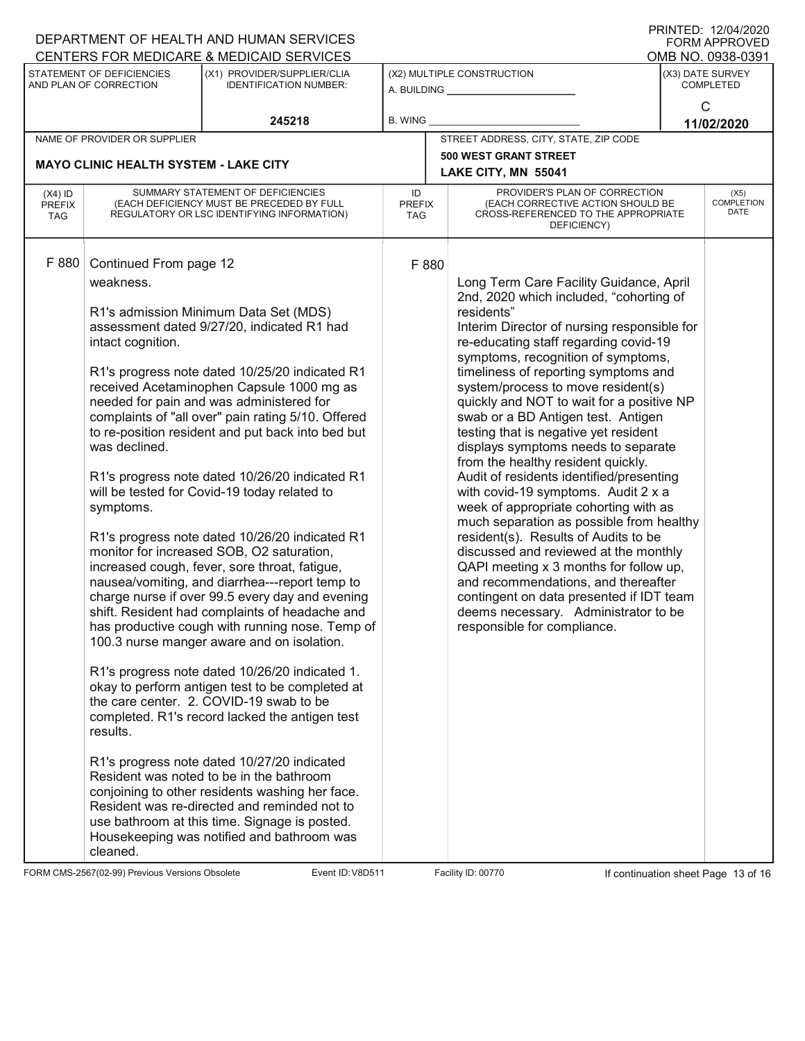|                                                                                      |                                                                                                                | DEPARTMENT OF HEALTH AND HUMAN SERVICES<br>CENTERS FOR MEDICARE & MEDICAID SERVICES                                                                                                                                                                                                                                                                                                                                                                                                                                                                                                                                                                                                                                                                                                                                                                                                                                                                                                                                                                                                                                                                                                                                                                                                                                                                |                            |  |                                                                                                                                                                                                                                                                                                                                                                                                                                                                                                                                                                                                                                                                                                                                                                                                                                                                                                                                                                                    |  | <b>FORM APPROVED</b>              |  |
|--------------------------------------------------------------------------------------|----------------------------------------------------------------------------------------------------------------|----------------------------------------------------------------------------------------------------------------------------------------------------------------------------------------------------------------------------------------------------------------------------------------------------------------------------------------------------------------------------------------------------------------------------------------------------------------------------------------------------------------------------------------------------------------------------------------------------------------------------------------------------------------------------------------------------------------------------------------------------------------------------------------------------------------------------------------------------------------------------------------------------------------------------------------------------------------------------------------------------------------------------------------------------------------------------------------------------------------------------------------------------------------------------------------------------------------------------------------------------------------------------------------------------------------------------------------------------|----------------------------|--|------------------------------------------------------------------------------------------------------------------------------------------------------------------------------------------------------------------------------------------------------------------------------------------------------------------------------------------------------------------------------------------------------------------------------------------------------------------------------------------------------------------------------------------------------------------------------------------------------------------------------------------------------------------------------------------------------------------------------------------------------------------------------------------------------------------------------------------------------------------------------------------------------------------------------------------------------------------------------------|--|-----------------------------------|--|
|                                                                                      |                                                                                                                | (X1) PROVIDER/SUPPLIER/CLIA                                                                                                                                                                                                                                                                                                                                                                                                                                                                                                                                                                                                                                                                                                                                                                                                                                                                                                                                                                                                                                                                                                                                                                                                                                                                                                                        | (X2) MULTIPLE CONSTRUCTION |  |                                                                                                                                                                                                                                                                                                                                                                                                                                                                                                                                                                                                                                                                                                                                                                                                                                                                                                                                                                                    |  | OMB NO. 0938-0391                 |  |
| STATEMENT OF DEFICIENCIES<br>AND PLAN OF CORRECTION<br><b>IDENTIFICATION NUMBER:</b> |                                                                                                                | A. BUILDING <u>___________________</u>                                                                                                                                                                                                                                                                                                                                                                                                                                                                                                                                                                                                                                                                                                                                                                                                                                                                                                                                                                                                                                                                                                                                                                                                                                                                                                             |                            |  | (X3) DATE SURVEY<br>COMPLETED                                                                                                                                                                                                                                                                                                                                                                                                                                                                                                                                                                                                                                                                                                                                                                                                                                                                                                                                                      |  |                                   |  |
|                                                                                      |                                                                                                                | 245218                                                                                                                                                                                                                                                                                                                                                                                                                                                                                                                                                                                                                                                                                                                                                                                                                                                                                                                                                                                                                                                                                                                                                                                                                                                                                                                                             | <b>B. WING</b>             |  |                                                                                                                                                                                                                                                                                                                                                                                                                                                                                                                                                                                                                                                                                                                                                                                                                                                                                                                                                                                    |  | C<br>11/02/2020                   |  |
|                                                                                      | NAME OF PROVIDER OR SUPPLIER                                                                                   |                                                                                                                                                                                                                                                                                                                                                                                                                                                                                                                                                                                                                                                                                                                                                                                                                                                                                                                                                                                                                                                                                                                                                                                                                                                                                                                                                    |                            |  | STREET ADDRESS, CITY, STATE, ZIP CODE                                                                                                                                                                                                                                                                                                                                                                                                                                                                                                                                                                                                                                                                                                                                                                                                                                                                                                                                              |  |                                   |  |
|                                                                                      |                                                                                                                |                                                                                                                                                                                                                                                                                                                                                                                                                                                                                                                                                                                                                                                                                                                                                                                                                                                                                                                                                                                                                                                                                                                                                                                                                                                                                                                                                    |                            |  | <b>500 WEST GRANT STREET</b>                                                                                                                                                                                                                                                                                                                                                                                                                                                                                                                                                                                                                                                                                                                                                                                                                                                                                                                                                       |  |                                   |  |
|                                                                                      | <b>MAYO CLINIC HEALTH SYSTEM - LAKE CITY</b>                                                                   |                                                                                                                                                                                                                                                                                                                                                                                                                                                                                                                                                                                                                                                                                                                                                                                                                                                                                                                                                                                                                                                                                                                                                                                                                                                                                                                                                    |                            |  | LAKE CITY, MN 55041                                                                                                                                                                                                                                                                                                                                                                                                                                                                                                                                                                                                                                                                                                                                                                                                                                                                                                                                                                |  |                                   |  |
| $(X4)$ ID<br><b>PREFIX</b><br><b>TAG</b>                                             |                                                                                                                | SUMMARY STATEMENT OF DEFICIENCIES<br>(EACH DEFICIENCY MUST BE PRECEDED BY FULL<br>REGULATORY OR LSC IDENTIFYING INFORMATION)                                                                                                                                                                                                                                                                                                                                                                                                                                                                                                                                                                                                                                                                                                                                                                                                                                                                                                                                                                                                                                                                                                                                                                                                                       | ID<br><b>PREFIX</b><br>TAG |  | PROVIDER'S PLAN OF CORRECTION<br>(EACH CORRECTIVE ACTION SHOULD BE<br>CROSS-REFERENCED TO THE APPROPRIATE<br>DEFICIENCY)                                                                                                                                                                                                                                                                                                                                                                                                                                                                                                                                                                                                                                                                                                                                                                                                                                                           |  | (X5)<br><b>COMPLETION</b><br>DATE |  |
| F 880                                                                                | Continued From page 12<br>weakness.<br>intact cognition.<br>was declined.<br>symptoms.<br>results.<br>cleaned. | R1's admission Minimum Data Set (MDS)<br>assessment dated 9/27/20, indicated R1 had<br>R1's progress note dated 10/25/20 indicated R1<br>received Acetaminophen Capsule 1000 mg as<br>needed for pain and was administered for<br>complaints of "all over" pain rating 5/10. Offered<br>to re-position resident and put back into bed but<br>R1's progress note dated 10/26/20 indicated R1<br>will be tested for Covid-19 today related to<br>R1's progress note dated 10/26/20 indicated R1<br>monitor for increased SOB, O2 saturation,<br>increased cough, fever, sore throat, fatigue,<br>nausea/vomiting, and diarrhea---report temp to<br>charge nurse if over 99.5 every day and evening<br>shift. Resident had complaints of headache and<br>has productive cough with running nose. Temp of<br>100.3 nurse manger aware and on isolation.<br>R1's progress note dated 10/26/20 indicated 1.<br>okay to perform antigen test to be completed at<br>the care center. 2. COVID-19 swab to be<br>completed. R1's record lacked the antigen test<br>R1's progress note dated 10/27/20 indicated<br>Resident was noted to be in the bathroom<br>conjoining to other residents washing her face.<br>Resident was re-directed and reminded not to<br>use bathroom at this time. Signage is posted.<br>Housekeeping was notified and bathroom was | F 880                      |  | Long Term Care Facility Guidance, April<br>2nd, 2020 which included, "cohorting of<br>residents"<br>Interim Director of nursing responsible for<br>re-educating staff regarding covid-19<br>symptoms, recognition of symptoms,<br>timeliness of reporting symptoms and<br>system/process to move resident(s)<br>quickly and NOT to wait for a positive NP<br>swab or a BD Antigen test. Antigen<br>testing that is negative yet resident<br>displays symptoms needs to separate<br>from the healthy resident quickly.<br>Audit of residents identified/presenting<br>with covid-19 symptoms. Audit 2 x a<br>week of appropriate cohorting with as<br>much separation as possible from healthy<br>resident(s). Results of Audits to be<br>discussed and reviewed at the monthly<br>QAPI meeting x 3 months for follow up,<br>and recommendations, and thereafter<br>contingent on data presented if IDT team<br>deems necessary. Administrator to be<br>responsible for compliance. |  |                                   |  |

FORM CMS-2567(02-99) Previous Versions Obsolete Variation School Event ID: V8D511 Facility ID: 00770 If continuation sheet Page 13 of 16

DEPARTMENT OF HEALTH AND HUMAN SERVICES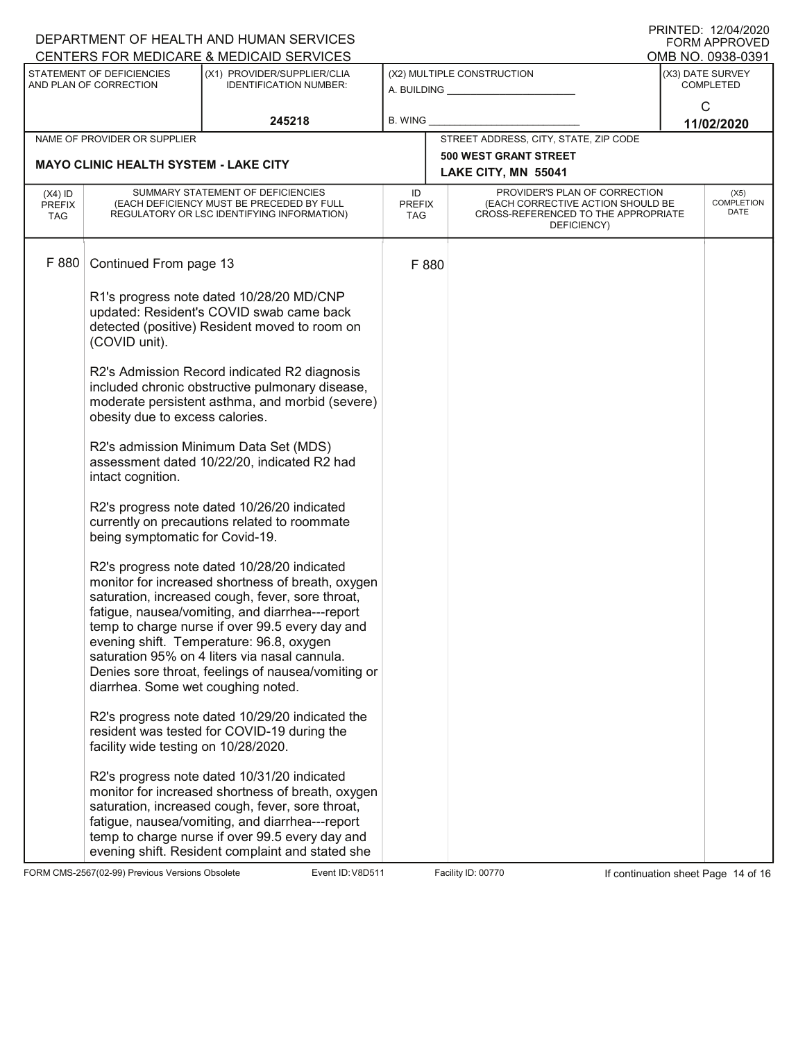|                                                                                                                     |                                                                                                                                                                                       | DEPARTMENT OF HEALTH AND HUMAN SERVICES<br>CENTERS FOR MEDICARE & MEDICAID SERVICES                                                                                                                                                                                                                                                                                                                           |                                   |  |                                                                                                                                                               |                                      | PRINTED: 12/04/2020<br>FORM APPROVED<br>OMB NO. 0938-0391 |
|---------------------------------------------------------------------------------------------------------------------|---------------------------------------------------------------------------------------------------------------------------------------------------------------------------------------|---------------------------------------------------------------------------------------------------------------------------------------------------------------------------------------------------------------------------------------------------------------------------------------------------------------------------------------------------------------------------------------------------------------|-----------------------------------|--|---------------------------------------------------------------------------------------------------------------------------------------------------------------|--------------------------------------|-----------------------------------------------------------|
| STATEMENT OF DEFICIENCIES<br>(X1) PROVIDER/SUPPLIER/CLIA<br>AND PLAN OF CORRECTION<br><b>IDENTIFICATION NUMBER:</b> |                                                                                                                                                                                       |                                                                                                                                                                                                                                                                                                                                                                                                               | (X2) MULTIPLE CONSTRUCTION        |  |                                                                                                                                                               | (X3) DATE SURVEY<br><b>COMPLETED</b> |                                                           |
|                                                                                                                     |                                                                                                                                                                                       | 245218                                                                                                                                                                                                                                                                                                                                                                                                        | <b>B. WING</b>                    |  |                                                                                                                                                               | $\mathsf{C}$<br>11/02/2020           |                                                           |
|                                                                                                                     | NAME OF PROVIDER OR SUPPLIER                                                                                                                                                          |                                                                                                                                                                                                                                                                                                                                                                                                               |                                   |  | STREET ADDRESS, CITY, STATE, ZIP CODE                                                                                                                         |                                      |                                                           |
|                                                                                                                     |                                                                                                                                                                                       |                                                                                                                                                                                                                                                                                                                                                                                                               |                                   |  | <b>500 WEST GRANT STREET</b>                                                                                                                                  |                                      |                                                           |
|                                                                                                                     | <b>MAYO CLINIC HEALTH SYSTEM - LAKE CITY</b>                                                                                                                                          |                                                                                                                                                                                                                                                                                                                                                                                                               |                                   |  | LAKE CITY, MN 55041                                                                                                                                           |                                      |                                                           |
| $(X4)$ ID<br><b>PREFIX</b><br>TAG                                                                                   | SUMMARY STATEMENT OF DEFICIENCIES<br>(EACH DEFICIENCY MUST BE PRECEDED BY FULL<br>REGULATORY OR LSC IDENTIFYING INFORMATION)                                                          |                                                                                                                                                                                                                                                                                                                                                                                                               | ID<br><b>PREFIX</b><br><b>TAG</b> |  | PROVIDER'S PLAN OF CORRECTION<br>(X5)<br><b>COMPLETION</b><br>(EACH CORRECTIVE ACTION SHOULD BE<br>DATE<br>CROSS-REFERENCED TO THE APPROPRIATE<br>DEFICIENCY) |                                      |                                                           |
| F 880                                                                                                               | Continued From page 13                                                                                                                                                                |                                                                                                                                                                                                                                                                                                                                                                                                               | F 880                             |  |                                                                                                                                                               |                                      |                                                           |
|                                                                                                                     | R1's progress note dated 10/28/20 MD/CNP<br>updated: Resident's COVID swab came back<br>detected (positive) Resident moved to room on<br>(COVID unit).                                |                                                                                                                                                                                                                                                                                                                                                                                                               |                                   |  |                                                                                                                                                               |                                      |                                                           |
|                                                                                                                     | R2's Admission Record indicated R2 diagnosis<br>included chronic obstructive pulmonary disease,<br>moderate persistent asthma, and morbid (severe)<br>obesity due to excess calories. |                                                                                                                                                                                                                                                                                                                                                                                                               |                                   |  |                                                                                                                                                               |                                      |                                                           |
|                                                                                                                     | R2's admission Minimum Data Set (MDS)<br>assessment dated 10/22/20, indicated R2 had<br>intact cognition.                                                                             |                                                                                                                                                                                                                                                                                                                                                                                                               |                                   |  |                                                                                                                                                               |                                      |                                                           |
|                                                                                                                     | R2's progress note dated 10/26/20 indicated<br>currently on precautions related to roommate<br>being symptomatic for Covid-19.                                                        |                                                                                                                                                                                                                                                                                                                                                                                                               |                                   |  |                                                                                                                                                               |                                      |                                                           |
|                                                                                                                     | diarrhea. Some wet coughing noted.                                                                                                                                                    | R2's progress note dated 10/28/20 indicated<br>monitor for increased shortness of breath, oxygen<br>saturation, increased cough, fever, sore throat,<br>fatigue, nausea/vomiting, and diarrhea---report<br>temp to charge nurse if over 99.5 every day and<br>evening shift. Temperature: 96.8, oxygen<br>saturation 95% on 4 liters via nasal cannula.<br>Denies sore throat, feelings of nausea/vomiting or |                                   |  |                                                                                                                                                               |                                      |                                                           |
|                                                                                                                     | facility wide testing on 10/28/2020.                                                                                                                                                  | R2's progress note dated 10/29/20 indicated the<br>resident was tested for COVID-19 during the                                                                                                                                                                                                                                                                                                                |                                   |  |                                                                                                                                                               |                                      |                                                           |
|                                                                                                                     |                                                                                                                                                                                       | R2's progress note dated 10/31/20 indicated<br>monitor for increased shortness of breath, oxygen<br>saturation, increased cough, fever, sore throat,<br>fatigue, nausea/vomiting, and diarrhea---report<br>temp to charge nurse if over 99.5 every day and<br>evening shift. Resident complaint and stated she                                                                                                |                                   |  |                                                                                                                                                               |                                      |                                                           |

FORM CMS-2567(02-99) Previous Versions Obsolete Variation School Event ID: V8D511 Facility ID: 00770 If continuation sheet Page 14 of 16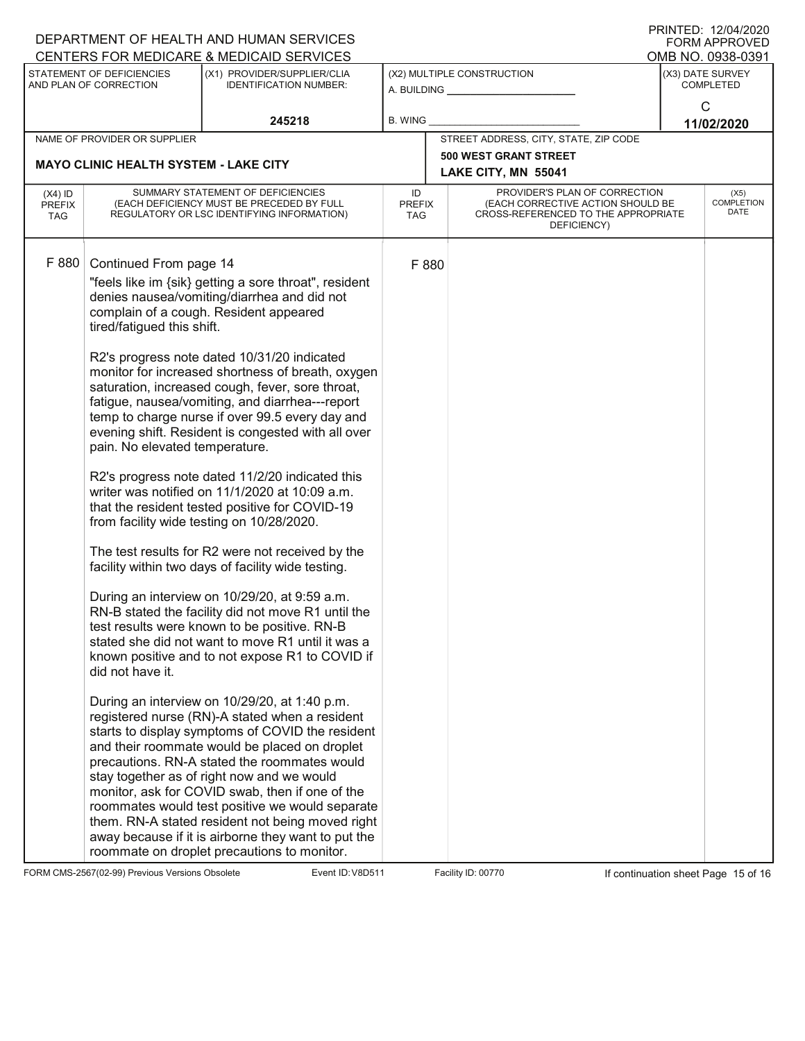| DEPARTMENT OF HEALTH AND HUMAN SERVICES             | I ININTED. IZIUHIZUZU<br><b>FORM APPROVED</b>                                                                                |                                                                                                                                                                                                                                                                                                                                                                                                                                                                                                                                                                    |                |                                                                                                                                           |                                           |  |
|-----------------------------------------------------|------------------------------------------------------------------------------------------------------------------------------|--------------------------------------------------------------------------------------------------------------------------------------------------------------------------------------------------------------------------------------------------------------------------------------------------------------------------------------------------------------------------------------------------------------------------------------------------------------------------------------------------------------------------------------------------------------------|----------------|-------------------------------------------------------------------------------------------------------------------------------------------|-------------------------------------------|--|
|                                                     |                                                                                                                              | CENTERS FOR MEDICARE & MEDICAID SERVICES                                                                                                                                                                                                                                                                                                                                                                                                                                                                                                                           |                |                                                                                                                                           | OMB NO. 0938-0391                         |  |
| STATEMENT OF DEFICIENCIES<br>AND PLAN OF CORRECTION |                                                                                                                              | (X1) PROVIDER/SUPPLIER/CLIA<br><b>IDENTIFICATION NUMBER:</b>                                                                                                                                                                                                                                                                                                                                                                                                                                                                                                       |                | (X2) MULTIPLE CONSTRUCTION<br>A. BUILDING                                                                                                 | (X3) DATE SURVEY<br><b>COMPLETED</b><br>C |  |
|                                                     | 245218                                                                                                                       |                                                                                                                                                                                                                                                                                                                                                                                                                                                                                                                                                                    | <b>B. WING</b> |                                                                                                                                           | 11/02/2020                                |  |
|                                                     | NAME OF PROVIDER OR SUPPLIER                                                                                                 |                                                                                                                                                                                                                                                                                                                                                                                                                                                                                                                                                                    |                | STREET ADDRESS, CITY, STATE, ZIP CODE                                                                                                     |                                           |  |
|                                                     | <b>MAYO CLINIC HEALTH SYSTEM - LAKE CITY</b>                                                                                 |                                                                                                                                                                                                                                                                                                                                                                                                                                                                                                                                                                    |                | <b>500 WEST GRANT STREET</b>                                                                                                              |                                           |  |
|                                                     |                                                                                                                              |                                                                                                                                                                                                                                                                                                                                                                                                                                                                                                                                                                    |                | LAKE CITY, MN 55041                                                                                                                       |                                           |  |
| $(X4)$ ID<br><b>PREFIX</b><br>TAG                   | SUMMARY STATEMENT OF DEFICIENCIES<br>(EACH DEFICIENCY MUST BE PRECEDED BY FULL<br>REGULATORY OR LSC IDENTIFYING INFORMATION) |                                                                                                                                                                                                                                                                                                                                                                                                                                                                                                                                                                    |                | PROVIDER'S PLAN OF CORRECTION<br>(EACH CORRECTIVE ACTION SHOULD BE<br><b>PREFIX</b><br>CROSS-REFERENCED TO THE APPROPRIATE<br>DEFICIENCY) | (X5)<br><b>COMPLETION</b><br>DATE         |  |
| F 880                                               | Continued From page 14<br>tired/fatigued this shift.                                                                         | "feels like im {sik} getting a sore throat", resident<br>denies nausea/vomiting/diarrhea and did not<br>complain of a cough. Resident appeared<br>R2's progress note dated 10/31/20 indicated<br>monitor for increased shortness of breath, oxygen                                                                                                                                                                                                                                                                                                                 | F 880          |                                                                                                                                           |                                           |  |
|                                                     | pain. No elevated temperature.                                                                                               | saturation, increased cough, fever, sore throat,<br>fatigue, nausea/vomiting, and diarrhea---report<br>temp to charge nurse if over 99.5 every day and<br>evening shift. Resident is congested with all over                                                                                                                                                                                                                                                                                                                                                       |                |                                                                                                                                           |                                           |  |
|                                                     |                                                                                                                              | R2's progress note dated 11/2/20 indicated this<br>writer was notified on 11/1/2020 at 10:09 a.m.<br>that the resident tested positive for COVID-19<br>from facility wide testing on 10/28/2020.                                                                                                                                                                                                                                                                                                                                                                   |                |                                                                                                                                           |                                           |  |
|                                                     |                                                                                                                              | The test results for R2 were not received by the<br>facility within two days of facility wide testing.                                                                                                                                                                                                                                                                                                                                                                                                                                                             |                |                                                                                                                                           |                                           |  |
|                                                     | did not have it.                                                                                                             | During an interview on 10/29/20, at 9:59 a.m.<br>RN-B stated the facility did not move R1 until the<br>test results were known to be positive. RN-B<br>stated she did not want to move R1 until it was a<br>known positive and to not expose R1 to COVID if                                                                                                                                                                                                                                                                                                        |                |                                                                                                                                           |                                           |  |
|                                                     |                                                                                                                              | During an interview on 10/29/20, at 1:40 p.m.<br>registered nurse (RN)-A stated when a resident<br>starts to display symptoms of COVID the resident<br>and their roommate would be placed on droplet<br>precautions. RN-A stated the roommates would<br>stay together as of right now and we would<br>monitor, ask for COVID swab, then if one of the<br>roommates would test positive we would separate<br>them. RN-A stated resident not being moved right<br>away because if it is airborne they want to put the<br>roommate on droplet precautions to monitor. |                |                                                                                                                                           |                                           |  |

FORM CMS-2567(02-99) Previous Versions Obsolete Variation School Event ID: V8D511 Facility ID: 00770 If continuation sheet Page 15 of 16